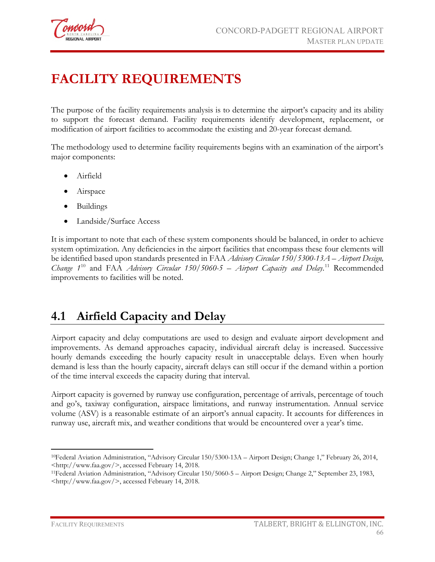

# **FACILITY REQUIREMENTS**

The purpose of the facility requirements analysis is to determine the airport's capacity and its ability to support the forecast demand. Facility requirements identify development, replacement, or modification of airport facilities to accommodate the existing and 20-year forecast demand.

The methodology used to determine facility requirements begins with an examination of the airport's major components:

- Airfield
- Airspace
- Buildings
- Landside/Surface Access

It is important to note that each of these system components should be balanced, in order to achieve system optimization. Any deficiencies in the airport facilities that encompass these four elements will be identified based upon standards presented in FAA *Advisory Circular 150/5300-13A – Airport Design, Change 1*[10](#page-0-0) and FAA *Advisory Circular 150/5060-5 – Airport Capacity and Delay*. [11](#page-0-1) Recommended improvements to facilities will be noted.

# **4.1 Airfield Capacity and Delay**

Airport capacity and delay computations are used to design and evaluate airport development and improvements. As demand approaches capacity, individual aircraft delay is increased. Successive hourly demands exceeding the hourly capacity result in unacceptable delays. Even when hourly demand is less than the hourly capacity, aircraft delays can still occur if the demand within a portion of the time interval exceeds the capacity during that interval.

Airport capacity is governed by runway use configuration, percentage of arrivals, percentage of touch and go's, taxiway configuration, airspace limitations, and runway instrumentation. Annual service volume (ASV) is a reasonable estimate of an airport's annual capacity. It accounts for differences in runway use, aircraft mix, and weather conditions that would be encountered over a year's time.

 $\overline{a}$ 

<span id="page-0-0"></span><sup>10</sup>Federal Aviation Administration, "Advisory Circular 150/5300-13A – Airport Design; Change 1," February 26, 2014, <http://www.faa.gov/>, accessed February 14, 2018.

<span id="page-0-1"></span><sup>11</sup>Federal Aviation Administration, "Advisory Circular 150/5060-5 – Airport Design; Change 2," September 23, 1983, <http://www.faa.gov/>, accessed February 14, 2018.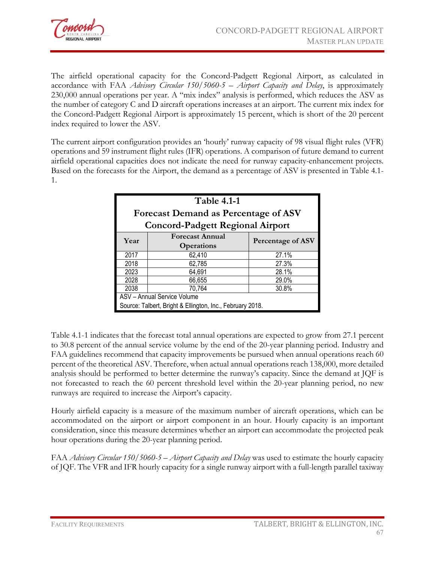

The airfield operational capacity for the Concord-Padgett Regional Airport, as calculated in accordance with FAA *Advisory Circular 150/5060-5 – Airport Capacity and Delay*, is approximately 230,000 annual operations per year. A "mix index" analysis is performed, which reduces the ASV as the number of category C and D aircraft operations increases at an airport. The current mix index for the Concord-Padgett Regional Airport is approximately 15 percent, which is short of the 20 percent index required to lower the ASV.

The current airport configuration provides an 'hourly' runway capacity of 98 visual flight rules (VFR) operations and 59 instrument flight rules (IFR) operations. A comparison of future demand to current airfield operational capacities does not indicate the need for runway capacity-enhancement projects. Based on the forecasts for the Airport, the demand as a percentage of ASV is presented in Table 4.1- 1.

| <b>Table 4.1-1</b><br><b>Forecast Demand as Percentage of ASV</b><br><b>Concord-Padgett Regional Airport</b> |                 |       |  |  |  |
|--------------------------------------------------------------------------------------------------------------|-----------------|-------|--|--|--|
| <b>Forecast Annual</b><br><b>Percentage of ASV</b><br>Year<br><b>Operations</b>                              |                 |       |  |  |  |
| 2017                                                                                                         | 62,410          | 27.1% |  |  |  |
| 2018                                                                                                         | 62,785          | 27.3% |  |  |  |
| 2023                                                                                                         | 64,691          | 28.1% |  |  |  |
| 2028                                                                                                         | 66,655          | 29.0% |  |  |  |
| 2038                                                                                                         | 70,764<br>30.8% |       |  |  |  |
| ASV - Annual Service Volume<br>Source: Talbert, Bright & Ellington, Inc., February 2018.                     |                 |       |  |  |  |

Table 4.1-1 indicates that the forecast total annual operations are expected to grow from 27.1 percent to 30.8 percent of the annual service volume by the end of the 20-year planning period. Industry and FAA guidelines recommend that capacity improvements be pursued when annual operations reach 60 percent of the theoretical ASV. Therefore, when actual annual operations reach 138,000, more detailed analysis should be performed to better determine the runway's capacity. Since the demand at JQF is not forecasted to reach the 60 percent threshold level within the 20-year planning period, no new runways are required to increase the Airport's capacity.

Hourly airfield capacity is a measure of the maximum number of aircraft operations, which can be accommodated on the airport or airport component in an hour. Hourly capacity is an important consideration, since this measure determines whether an airport can accommodate the projected peak hour operations during the 20-year planning period.

FAA *Advisory Circular 150/5060-5 – Airport Capacity and Delay* was used to estimate the hourly capacity of JQF. The VFR and IFR hourly capacity for a single runway airport with a full-length parallel taxiway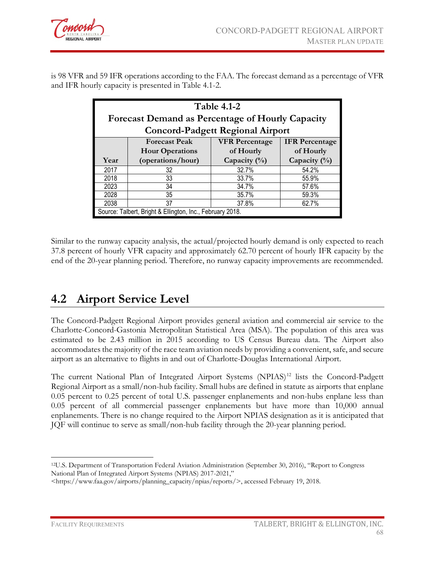is 98 VFR and 59 IFR operations according to the FAA. The forecast demand as a percentage of VFR and IFR hourly capacity is presented in Table 4.1-2.

| <b>Table 4.1-2</b> |                                                           |                                         |                       |  |  |  |  |
|--------------------|-----------------------------------------------------------|-----------------------------------------|-----------------------|--|--|--|--|
|                    | <b>Forecast Demand as Percentage of Hourly Capacity</b>   |                                         |                       |  |  |  |  |
|                    |                                                           | <b>Concord-Padgett Regional Airport</b> |                       |  |  |  |  |
|                    | <b>Forecast Peak</b>                                      | <b>VFR Percentage</b>                   | <b>IFR</b> Percentage |  |  |  |  |
|                    | <b>Hour Operations</b><br>of Hourly<br>of Hourly          |                                         |                       |  |  |  |  |
| Year               | (operations/hour)                                         | Capacity $(\%)$                         | Capacity $(\%)$       |  |  |  |  |
| 2017               | 32                                                        | 32.7%                                   | 54.2%                 |  |  |  |  |
| 2018               | 33                                                        | 33.7%                                   | 55.9%                 |  |  |  |  |
| 2023               | 34                                                        | 34.7%                                   | 57.6%                 |  |  |  |  |
| 2028               | 35                                                        | 35.7%                                   | 59.3%                 |  |  |  |  |
| 2038               | 37.8%<br>37<br>62.7%                                      |                                         |                       |  |  |  |  |
|                    | Source: Talbert, Bright & Ellington, Inc., February 2018. |                                         |                       |  |  |  |  |

Similar to the runway capacity analysis, the actual/projected hourly demand is only expected to reach 37.8 percent of hourly VFR capacity and approximately 62.70 percent of hourly IFR capacity by the end of the 20-year planning period. Therefore, no runway capacity improvements are recommended.

# **4.2 Airport Service Level**

The Concord-Padgett Regional Airport provides general aviation and commercial air service to the Charlotte-Concord-Gastonia Metropolitan Statistical Area (MSA). The population of this area was estimated to be 2.43 million in 2015 according to US Census Bureau data. The Airport also accommodates the majority of the race team aviation needs by providing a convenient, safe, and secure airport as an alternative to flights in and out of Charlotte-Douglas International Airport.

The current National Plan of Integrated Airport Systems (NPIAS)<sup>[12](#page-2-0)</sup> lists the Concord-Padgett Regional Airport as a small/non-hub facility. Small hubs are defined in statute as airports that enplane 0.05 percent to 0.25 percent of total U.S. passenger enplanements and non-hubs enplane less than 0.05 percent of all commercial passenger enplanements but have more than 10,000 annual enplanements. There is no change required to the Airport NPIAS designation as it is anticipated that JQF will continue to serve as small/non-hub facility through the 20-year planning period.

 $\overline{a}$ 

<span id="page-2-0"></span><sup>12</sup>U.S. Department of Transportation Federal Aviation Administration (September 30, 2016), "Report to Congress National Plan of Integrated Airport Systems (NPIAS) 2017-2021,"

<sup>&</sup>lt;https://www.faa.gov/airports/planning\_capacity/npias/reports/>, accessed February 19, 2018.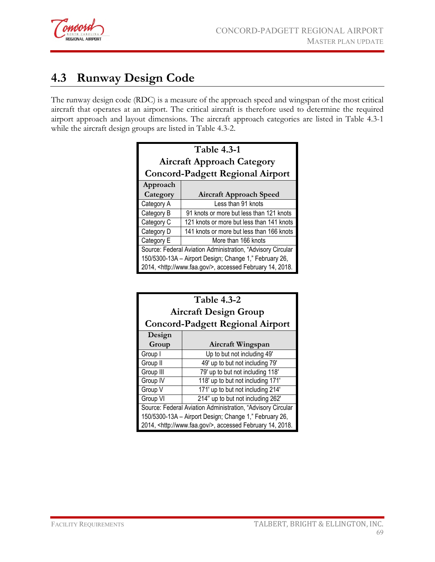

# **4.3 Runway Design Code**

The runway design code (RDC) is a measure of the approach speed and wingspan of the most critical aircraft that operates at an airport. The critical aircraft is therefore used to determine the required airport approach and layout dimensions. The aircraft approach categories are listed in Table 4.3-1 while the aircraft design groups are listed in Table 4.3-2.

| <b>Table 4.3-1</b>                |                                                                                                                                                                                             |  |  |  |
|-----------------------------------|---------------------------------------------------------------------------------------------------------------------------------------------------------------------------------------------|--|--|--|
| <b>Aircraft Approach Category</b> |                                                                                                                                                                                             |  |  |  |
|                                   | <b>Concord-Padgett Regional Airport</b>                                                                                                                                                     |  |  |  |
| Approach                          |                                                                                                                                                                                             |  |  |  |
| Category                          | <b>Aircraft Approach Speed</b>                                                                                                                                                              |  |  |  |
| Category A                        | Less than 91 knots                                                                                                                                                                          |  |  |  |
| Category B                        | 91 knots or more but less than 121 knots                                                                                                                                                    |  |  |  |
| Category C                        | 121 knots or more but less than 141 knots                                                                                                                                                   |  |  |  |
| Category D                        | 141 knots or more but less than 166 knots                                                                                                                                                   |  |  |  |
| Category E                        | More than 166 knots                                                                                                                                                                         |  |  |  |
|                                   | Source: Federal Aviation Administration, "Advisory Circular<br>150/5300-13A - Airport Design; Change 1," February 26,<br>2014, <http: www.faa.gov=""></http:> , accessed February 14, 2018. |  |  |  |

| <b>Table 4.3-2</b>                                          |                                                                    |  |  |  |
|-------------------------------------------------------------|--------------------------------------------------------------------|--|--|--|
| <b>Aircraft Design Group</b>                                |                                                                    |  |  |  |
|                                                             | <b>Concord-Padgett Regional Airport</b>                            |  |  |  |
| Design                                                      |                                                                    |  |  |  |
| Group                                                       | Aircraft Wingspan                                                  |  |  |  |
| Group I                                                     | Up to but not including 49'                                        |  |  |  |
| Group II                                                    | 49' up to but not including 79'                                    |  |  |  |
| Group III                                                   | 79' up to but not including 118'                                   |  |  |  |
| Group IV                                                    | 118' up to but not including 171'                                  |  |  |  |
| Group V                                                     | 171' up to but not including 214'                                  |  |  |  |
| Group VI<br>214" up to but not including 262"               |                                                                    |  |  |  |
| Source: Federal Aviation Administration, "Advisory Circular |                                                                    |  |  |  |
| 150/5300-13A - Airport Design; Change 1," February 26,      |                                                                    |  |  |  |
|                                                             | 2014, <http: www.faa.gov=""></http:> , accessed February 14, 2018. |  |  |  |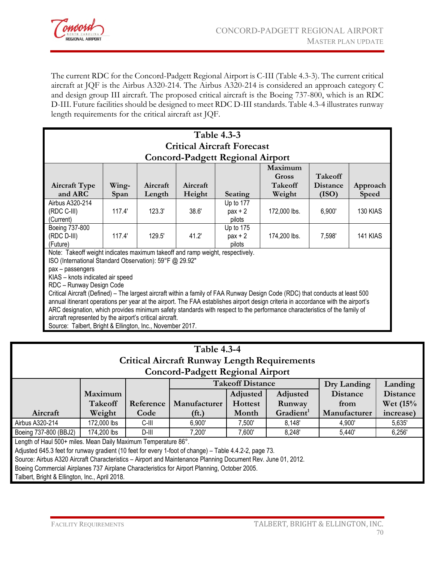

The current RDC for the Concord-Padgett Regional Airport is C-III (Table 4.3-3). The current critical aircraft at JQF is the Airbus A320-214. The Airbus A320-214 is considered an approach category C and design group III aircraft. The proposed critical aircraft is the Boeing 737-800, which is an RDC D-III. Future facilities should be designed to meet RDC D-III standards. Table 4.3-4 illustrates runway length requirements for the critical aircraft ast JQF.

| <b>Table 4.3-3</b><br><b>Critical Aircraft Forecast</b><br><b>Concord-Padgett Regional Airport</b>                                                                                                                                                                                                                                                                                                                                                                                                                                                                                                                                                                                                                                                                 |                                                                                           |  |  |  |  |  |  |
|--------------------------------------------------------------------------------------------------------------------------------------------------------------------------------------------------------------------------------------------------------------------------------------------------------------------------------------------------------------------------------------------------------------------------------------------------------------------------------------------------------------------------------------------------------------------------------------------------------------------------------------------------------------------------------------------------------------------------------------------------------------------|-------------------------------------------------------------------------------------------|--|--|--|--|--|--|
| Maximum<br><b>Takeoff</b><br>Gross<br>Aircraft<br><b>Takeoff</b><br><b>Aircraft Type</b><br>Wing-<br>Aircraft<br><b>Distance</b><br>Approach<br>and ARC<br>Length<br>Height<br>(ISO)<br>Weight<br><b>Speed</b><br>Span<br>Seating                                                                                                                                                                                                                                                                                                                                                                                                                                                                                                                                  |                                                                                           |  |  |  |  |  |  |
| Airbus A320-214<br>Up to 177<br>117.4'<br>123.3'<br>38.6'<br>(RDC C-III)<br>172,000 lbs.<br>6,900'<br>130 KIAS<br>$pax + 2$<br>(Current)<br>pilots                                                                                                                                                                                                                                                                                                                                                                                                                                                                                                                                                                                                                 |                                                                                           |  |  |  |  |  |  |
| Boeing 737-800<br>(RDC D-III)<br>(Future)                                                                                                                                                                                                                                                                                                                                                                                                                                                                                                                                                                                                                                                                                                                          | Up to 175<br>41.2'<br>117.4'<br>129.5'<br>174,200 lbs.<br>7,598'<br>141 KIAS<br>$pax + 2$ |  |  |  |  |  |  |
| pilots<br>Note: Takeoff weight indicates maximum takeoff and ramp weight, respectively.<br>ISO (International Standard Observation): 59°F @ 29.92"<br>pax - passengers<br>KIAS - knots indicated air speed<br>RDC - Runway Design Code<br>Critical Aircraft (Defined) – The largest aircraft within a family of FAA Runway Design Code (RDC) that conducts at least 500<br>annual itinerant operations per year at the airport. The FAA establishes airport design criteria in accordance with the airport's<br>ARC designation, which provides minimum safety standards with respect to the performance characteristics of the family of<br>aircraft represented by the airport's critical aircraft.<br>Source: Talbert, Bright & Ellington, Inc., November 2017. |                                                                                           |  |  |  |  |  |  |

| <b>Table 4.3-4</b><br><b>Critical Aircraft Runway Length Requirements</b><br><b>Concord-Padgett Regional Airport</b> |                                                                                                              |           |                                                                                  |                         |          |                 |                 |  |  |
|----------------------------------------------------------------------------------------------------------------------|--------------------------------------------------------------------------------------------------------------|-----------|----------------------------------------------------------------------------------|-------------------------|----------|-----------------|-----------------|--|--|
|                                                                                                                      |                                                                                                              |           |                                                                                  | <b>Takeoff Distance</b> |          | Dry Landing     | Landing         |  |  |
|                                                                                                                      | Maximum                                                                                                      |           |                                                                                  | Adjusted                | Adjusted | <b>Distance</b> | <b>Distance</b> |  |  |
|                                                                                                                      | Takeoff                                                                                                      | Reference | Manufacturer                                                                     | <b>Hottest</b>          | Runway   | from            | Wet (15%)       |  |  |
| Aircraft                                                                                                             | Weight                                                                                                       | Code      | Gradient <sup>1</sup><br>Manufacturer<br>Month<br>increase)<br>(f <sub>t</sub> ) |                         |          |                 |                 |  |  |
| Airbus A320-214                                                                                                      | 172,000 lbs                                                                                                  | C-III     | 6,900'                                                                           | 7,500'                  | 8,148'   | 4,900'          | 5,635'          |  |  |
| Boeing 737-800 (BBJ2)                                                                                                | 174,200 lbs                                                                                                  | D-III     | 7,200'                                                                           | 7,600'                  | 8,248'   | 5,440'          | 6,256'          |  |  |
| Length of Haul 500+ miles. Mean Daily Maximum Temperature 86°.                                                       |                                                                                                              |           |                                                                                  |                         |          |                 |                 |  |  |
| Adjusted 645.3 feet for runway gradient (10 feet for every 1-foot of change) - Table 4.4.2-2, page 73.               |                                                                                                              |           |                                                                                  |                         |          |                 |                 |  |  |
|                                                                                                                      | Source: Airbus A320 Aircraft Characteristics - Airport and Maintenance Planning Document Rev. June 01, 2012. |           |                                                                                  |                         |          |                 |                 |  |  |
| Boeing Commercial Airplanes 737 Airplane Characteristics for Airport Planning, October 2005.                         |                                                                                                              |           |                                                                                  |                         |          |                 |                 |  |  |
| Talbert, Bright & Ellington, Inc., April 2018.                                                                       |                                                                                                              |           |                                                                                  |                         |          |                 |                 |  |  |
|                                                                                                                      |                                                                                                              |           |                                                                                  |                         |          |                 |                 |  |  |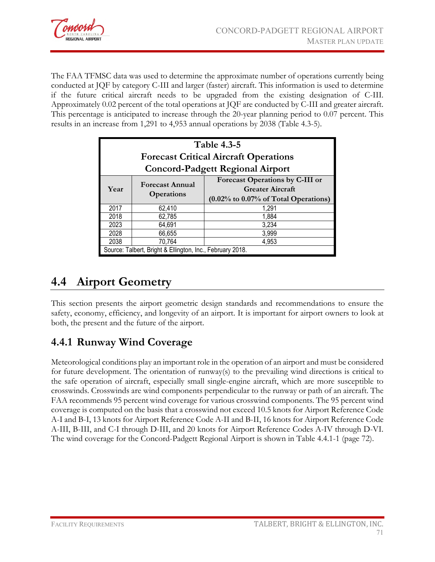

The FAA TFMSC data was used to determine the approximate number of operations currently being conducted at JQF by category C-III and larger (faster) aircraft. This information is used to determine if the future critical aircraft needs to be upgraded from the existing designation of C-III. Approximately 0.02 percent of the total operations at JQF are conducted by C-III and greater aircraft. This percentage is anticipated to increase through the 20-year planning period to 0.07 percent. This results in an increase from 1,291 to 4,953 annual operations by 2038 (Table 4.3-5).

| <b>Table 4.3-5</b><br><b>Forecast Critical Aircraft Operations</b><br><b>Concord-Padgett Regional Airport</b>                                                          |        |                                                           |  |  |  |
|------------------------------------------------------------------------------------------------------------------------------------------------------------------------|--------|-----------------------------------------------------------|--|--|--|
| <b>Forecast Operations by C-III or</b><br><b>Forecast Annual</b><br><b>Greater Aircraft</b><br>Year<br><b>Operations</b><br>$(0.02\%$ to $0.07\%$ of Total Operations) |        |                                                           |  |  |  |
| 2017                                                                                                                                                                   | 62,410 | 1.291                                                     |  |  |  |
| 2018                                                                                                                                                                   | 62,785 | 1,884                                                     |  |  |  |
| 2023                                                                                                                                                                   | 64,691 | 3,234                                                     |  |  |  |
| 2028                                                                                                                                                                   | 66,655 | 3,999                                                     |  |  |  |
| 70,764<br>2038<br>4,953                                                                                                                                                |        |                                                           |  |  |  |
|                                                                                                                                                                        |        | Source: Talbert, Bright & Ellington, Inc., February 2018. |  |  |  |

# **4.4 Airport Geometry**

This section presents the airport geometric design standards and recommendations to ensure the safety, economy, efficiency, and longevity of an airport. It is important for airport owners to look at both, the present and the future of the airport.

# **4.4.1 Runway Wind Coverage**

Meteorological conditions play an important role in the operation of an airport and must be considered for future development. The orientation of runway(s) to the prevailing wind directions is critical to the safe operation of aircraft, especially small single-engine aircraft, which are more susceptible to crosswinds. Crosswinds are wind components perpendicular to the runway or path of an aircraft. The FAA recommends 95 percent wind coverage for various crosswind components. The 95 percent wind coverage is computed on the basis that a crosswind not exceed 10.5 knots for Airport Reference Code A-I and B-I, 13 knots for Airport Reference Code A-II and B-II, 16 knots for Airport Reference Code A-III, B-III, and C-I through D-III, and 20 knots for Airport Reference Codes A-IV through D-VI. The wind coverage for the Concord-Padgett Regional Airport is shown in Table 4.4.1-1 (page 72).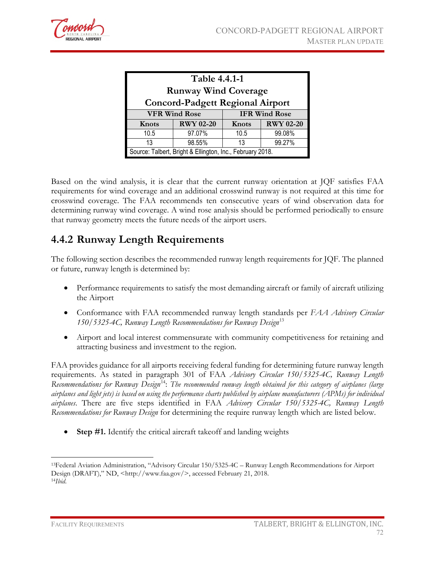

| Table 4.4.1-1<br><b>Runway Wind Coverage</b><br><b>Concord-Padgett Regional Airport</b> |                                                           |       |                  |  |  |  |
|-----------------------------------------------------------------------------------------|-----------------------------------------------------------|-------|------------------|--|--|--|
|                                                                                         | <b>VFR Wind Rose</b><br><b>IFR Wind Rose</b>              |       |                  |  |  |  |
| Knots                                                                                   | <b>RWY 02-20</b>                                          | Knots | <b>RWY 02-20</b> |  |  |  |
| 10.5                                                                                    | 97.07%<br>99.08%<br>10.5                                  |       |                  |  |  |  |
| 99.27%<br>98.55%<br>13<br>13                                                            |                                                           |       |                  |  |  |  |
|                                                                                         | Source: Talbert, Bright & Ellington, Inc., February 2018. |       |                  |  |  |  |

Based on the wind analysis, it is clear that the current runway orientation at JQF satisfies FAA requirements for wind coverage and an additional crosswind runway is not required at this time for crosswind coverage. The FAA recommends ten consecutive years of wind observation data for determining runway wind coverage. A wind rose analysis should be performed periodically to ensure that runway geometry meets the future needs of the airport users.

## **4.4.2 Runway Length Requirements**

The following section describes the recommended runway length requirements for JQF. The planned or future, runway length is determined by:

- Performance requirements to satisfy the most demanding aircraft or family of aircraft utilizing the Airport
- Conformance with FAA recommended runway length standards per *FAA Advisory Circular 150/5325-4C, Runway Length Recommendations for Runway Design*[13](#page-6-0)
- Airport and local interest commensurate with community competitiveness for retaining and attracting business and investment to the region.

FAA provides guidance for all airports receiving federal funding for determining future runway length requirements. As stated in paragraph 301 of FAA *Advisory Circular 150/5325-4C, Runway Length Recommendations for Runway Design*[14:](#page-6-1) *The recommended runway length obtained for this category of airplanes (large airplanes and light jets) is based on using the performance charts published by airplane manufacturers (APMs) for individual airplanes*. There are five steps identified in FAA *Advisory Circular 150/5325-4C, Runway Length Recommendations for Runway Design* for determining the require runway length which are listed below.

• **Step #1.** Identify the critical aircraft takeoff and landing weights

 $\overline{a}$ 

<span id="page-6-1"></span><span id="page-6-0"></span><sup>13</sup>Federal Aviation Administration, "Advisory Circular 150/5325-4C – Runway Length Recommendations for Airport Design (DRAFT)," ND, <http://www.faa.gov/>, accessed February 21, 2018. 14*Ibid*.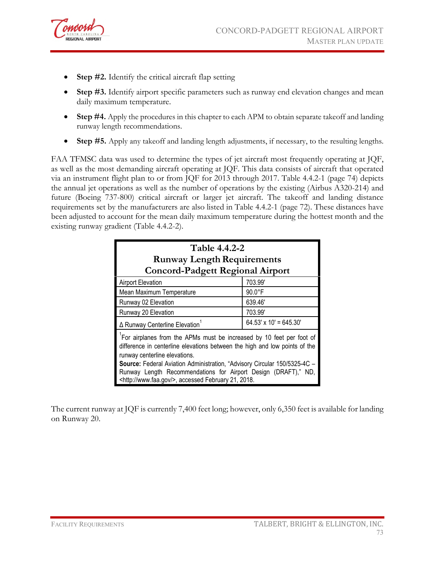

- **Step #2.** Identify the critical aircraft flap setting
- **Step #3.** Identify airport specific parameters such as runway end elevation changes and mean daily maximum temperature.
- **Step #4.** Apply the procedures in this chapter to each APM to obtain separate takeoff and landing runway length recommendations.
- **Step #5.** Apply any takeoff and landing length adjustments, if necessary, to the resulting lengths.

FAA TFMSC data was used to determine the types of jet aircraft most frequently operating at JQF, as well as the most demanding aircraft operating at JQF. This data consists of aircraft that operated via an instrument flight plan to or from JQF for 2013 through 2017. Table 4.4.2-1 (page 74) depicts the annual jet operations as well as the number of operations by the existing (Airbus A320-214) and future (Boeing 737-800) critical aircraft or larger jet aircraft. The takeoff and landing distance requirements set by the manufacturers are also listed in Table 4.4.2-1 (page 72). These distances have been adjusted to account for the mean daily maximum temperature during the hottest month and the existing runway gradient (Table 4.4.2-2).

| Table 4.4.2-2<br><b>Runway Length Requirements</b><br><b>Concord-Padgett Regional Airport</b>                                                                                                                                                                                                                                                                                                      |                               |  |  |  |
|----------------------------------------------------------------------------------------------------------------------------------------------------------------------------------------------------------------------------------------------------------------------------------------------------------------------------------------------------------------------------------------------------|-------------------------------|--|--|--|
| <b>Airport Elevation</b>                                                                                                                                                                                                                                                                                                                                                                           | 703.99'                       |  |  |  |
| Mean Maximum Temperature                                                                                                                                                                                                                                                                                                                                                                           | $90.0^{\circ}$ F              |  |  |  |
| Runway 02 Elevation                                                                                                                                                                                                                                                                                                                                                                                | 639.46'                       |  |  |  |
| Runway 20 Elevation                                                                                                                                                                                                                                                                                                                                                                                | 703.99'                       |  |  |  |
| ∆ Runway Centerline Elevation                                                                                                                                                                                                                                                                                                                                                                      | $64.53' \times 10' = 645.30'$ |  |  |  |
| For airplanes from the APMs must be increased by 10 feet per foot of<br>difference in centerline elevations between the high and low points of the<br>runway centerline elevations.<br>Source: Federal Aviation Administration, "Advisory Circular 150/5325-4C -<br>Runway Length Recommendations for Airport Design (DRAFT)," ND,<br><http: www.faa.gov=""></http:> , accessed February 21, 2018. |                               |  |  |  |

The current runway at JQF is currently 7,400 feet long; however, only 6,350 feet is available for landing on Runway 20.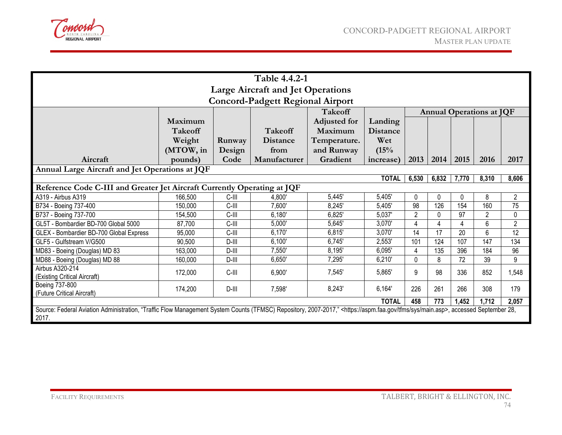

| Table 4.4.2-1                                                                                                                                                                                        |                                          |          |                 |                     |                 |                |          |       |                |                |
|------------------------------------------------------------------------------------------------------------------------------------------------------------------------------------------------------|------------------------------------------|----------|-----------------|---------------------|-----------------|----------------|----------|-------|----------------|----------------|
|                                                                                                                                                                                                      | <b>Large Aircraft and Jet Operations</b> |          |                 |                     |                 |                |          |       |                |                |
| <b>Concord-Padgett Regional Airport</b>                                                                                                                                                              |                                          |          |                 |                     |                 |                |          |       |                |                |
| <b>Takeoff</b><br><b>Annual Operations at JQF</b>                                                                                                                                                    |                                          |          |                 |                     |                 |                |          |       |                |                |
|                                                                                                                                                                                                      | Maximum                                  |          |                 | <b>Adjusted for</b> | Landing         |                |          |       |                |                |
|                                                                                                                                                                                                      | <b>Takeoff</b>                           |          | <b>Takeoff</b>  | Maximum             | <b>Distance</b> |                |          |       |                |                |
|                                                                                                                                                                                                      | Weight                                   | Runway   | <b>Distance</b> | Temperature.        | Wet             |                |          |       |                |                |
|                                                                                                                                                                                                      | (MTOW, in                                | Design   | from            | and Runway          | (15%            |                |          |       |                |                |
| Aircraft                                                                                                                                                                                             | pounds)                                  | Code     | Manufacturer    | Gradient            | increase)       | 2013           | 2014     | 2015  | 2016           | 2017           |
| Annual Large Aircraft and Jet Operations at JQF                                                                                                                                                      |                                          |          |                 |                     |                 |                |          |       |                |                |
|                                                                                                                                                                                                      |                                          |          |                 |                     | <b>TOTAL</b>    | 6,530          | 6,832    | 7,770 | 8,310          | 8,606          |
| Reference Code C-III and Greater Jet Aircraft Currently Operating at JQF                                                                                                                             |                                          |          |                 |                     |                 |                |          |       |                |                |
| A319 - Airbus A319                                                                                                                                                                                   | 166,500                                  | C-III    | 4,800'          | 5,445'              | 5,405'          | $\Omega$       | $\Omega$ | 0     | 8              | $\overline{2}$ |
| B734 - Boeing 737-400                                                                                                                                                                                | 150,000                                  | $C$ -III | 7,600'          | 8,245'              | 5,405'          | 98             | 126      | 154   | 160            | 75             |
| B737 - Boeing 737-700                                                                                                                                                                                | 154,500                                  | C-III    | 6,180'          | 6,825'              | 5,037'          | $\overline{2}$ | 0        | 97    | $\overline{2}$ | $\mathbf 0$    |
| GL5T - Bombardier BD-700 Global 5000                                                                                                                                                                 | 87,700                                   | C-III    | 5,000'          | 5,645'              | 3,070'          | Δ              | 4        | 4     | 6              | $\overline{2}$ |
| GLEX - Bombardier BD-700 Global Express                                                                                                                                                              | 95,000                                   | C-III    | 6,170'          | 6,815               | 3,070'          | 14             | 17       | 20    | 6              | 12             |
| GLF5 - Gulfstream V/G500                                                                                                                                                                             | 90,500                                   | $D$ -III | 6,100'          | 6,745'              | 2,553'          | 101            | 124      | 107   | 147            | 134            |
| MD83 - Boeing (Douglas) MD 83                                                                                                                                                                        | 163,000                                  | $D$ -III | 7,550'          | 8,195'              | 6,095'          | 4              | 135      | 396   | 184            | 96             |
| MD88 - Boeing (Douglas) MD 88                                                                                                                                                                        | 160,000                                  | $D$ -III | 6,650'          | 7,295'              | 6,210'          | $\mathbf 0$    | 8        | 72    | 39             | 9              |
| Airbus A320-214                                                                                                                                                                                      | 172,000                                  | C-III    | 6,900'          | 7,545'              | 5,865'          | 9              | 98       | 336   | 852            | 1,548          |
| (Existing Critical Aircraft)                                                                                                                                                                         |                                          |          |                 |                     |                 |                |          |       |                |                |
| Boeing 737-800                                                                                                                                                                                       | 174,200                                  | $D$ -III | 7,598'          | 8,243'              | 6,164'          | 226            | 261      | 266   | 308            | 179            |
| (Future Critical Aircraft)                                                                                                                                                                           |                                          |          |                 |                     | <b>TOTAL</b>    | 458            | 773      | 1,452 | 1,712          | 2,057          |
| Source: Federal Aviation Administration, "Traffic Flow Management System Counts (TFMSC) Repository, 2007-2017," <https: aspm.faa.gov="" main.asp="" sys="" tfms="">, accessed September 28,</https:> |                                          |          |                 |                     |                 |                |          |       |                |                |
| 2017.                                                                                                                                                                                                |                                          |          |                 |                     |                 |                |          |       |                |                |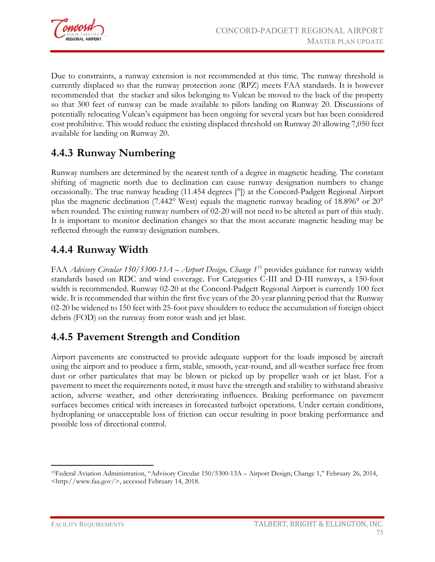

Due to constraints, a runway extension is not recommended at this time. The runway threshold is currently displaced so that the runway protection zone (RPZ) meets FAA standards. It is however recommended that the stacker and silos belonging to Vulcan be moved to the back of the property so that 300 feet of runway can be made available to pilots landing on Runway 20. Discussions of potentially relocating Vulcan's equipment has been ongoing for several years but has been considered cost prohibitive. This would reduce the existing displaced threshold on Runway 20 allowing 7,050 feet available for landing on Runway 20.

## **4.4.3 Runway Numbering**

Runway numbers are determined by the nearest tenth of a degree in magnetic heading. The constant shifting of magnetic north due to declination can cause runway designation numbers to change occasionally. The true runway heading (11.454 degrees [°]) at the Concord-Padgett Regional Airport plus the magnetic declination (7.442° West) equals the magnetic runway heading of 18.896° or 20° when rounded. The existing runway numbers of 02-20 will not need to be altered as part of this study. It is important to monitor declination changes so that the most accurate magnetic heading may be reflected through the runway designation numbers.

### **4.4.4 Runway Width**

FAA *Advisory Circular 150/5300-13A – Airport Design, Change 1*[15](#page-9-0) provides guidance for runway width standards based on RDC and wind coverage. For Categories C-III and D-III runways, a 150-foot width is recommended. Runway 02-20 at the Concord-Padgett Regional Airport is currently 100 feet wide. It is recommended that within the first five years of the 20-year planning period that the Runway 02-20 be widened to 150 feet with 25-foot pave shoulders to reduce the accumulation of foreign object debris (FOD) on the runway from rotor wash and jet blast.

# **4.4.5 Pavement Strength and Condition**

Airport pavements are constructed to provide adequate support for the loads imposed by aircraft using the airport and to produce a firm, stable, smooth, year-round, and all-weather surface free from dust or other particulates that may be blown or picked up by propeller wash or jet blast. For a pavement to meet the requirements noted, it must have the strength and stability to withstand abrasive action, adverse weather, and other deteriorating influences. Braking performance on pavement surfaces becomes critical with increases in forecasted turbojet operations. Under certain conditions, hydroplaning or unacceptable loss of friction can occur resulting in poor braking performance and possible loss of directional control.

<span id="page-9-0"></span> $\overline{a}$ 15Federal Aviation Administration, "Advisory Circular 150/5300-13A – Airport Design; Change 1," February 26, 2014, <http://www.faa.gov/>, accessed February 14, 2018.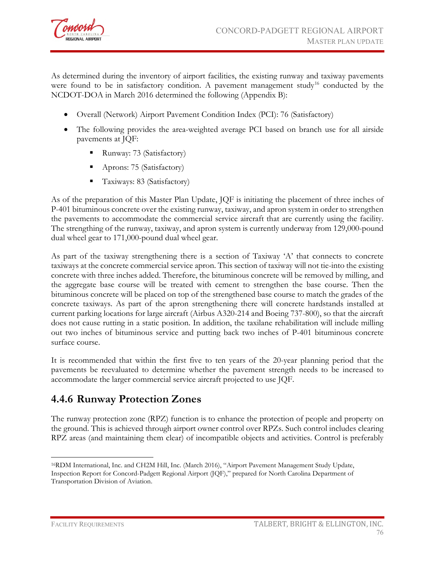

As determined during the inventory of airport facilities, the existing runway and taxiway pavements were found to be in satisfactory condition. A pavement management study<sup>[16](#page-10-0)</sup> conducted by the NCDOT-DOA in March 2016 determined the following (Appendix B):

- Overall (Network) Airport Pavement Condition Index (PCI): 76 (Satisfactory)
- The following provides the area-weighted average PCI based on branch use for all airside pavements at JQF:
	- Runway: 73 (Satisfactory)
	- Aprons: 75 (Satisfactory)
	- Taxiways: 83 (Satisfactory)

As of the preparation of this Master Plan Update, JQF is initiating the placement of three inches of P-401 bituminous concrete over the existing runway, taxiway, and apron system in order to strengthen the pavements to accommodate the commercial service aircraft that are currently using the facility. The strengthing of the runway, taxiway, and apron system is currently underway from 129,000-pound dual wheel gear to 171,000-pound dual wheel gear.

As part of the taxiway strengthening there is a section of Taxiway 'A' that connects to concrete taxiways at the concrete commercial service apron. This section of taxiway will not tie-into the existing concrete with three inches added. Therefore, the bituminous concrete will be removed by milling, and the aggregate base course will be treated with cement to strengthen the base course. Then the bituminous concrete will be placed on top of the strengthened base course to match the grades of the concrete taxiways. As part of the apron strengthening there will concrete hardstands installed at current parking locations for large aircraft (Airbus A320-214 and Boeing 737-800), so that the aircraft does not cause rutting in a static position. In addition, the taxilane rehabilitation will include milling out two inches of bituminous service and putting back two inches of P-401 bituminous concrete surface course.

It is recommended that within the first five to ten years of the 20-year planning period that the pavements be reevaluated to determine whether the pavement strength needs to be increased to accommodate the larger commercial service aircraft projected to use JQF.

#### **4.4.6 Runway Protection Zones**

The runway protection zone (RPZ) function is to enhance the protection of people and property on the ground. This is achieved through airport owner control over RPZs. Such control includes clearing RPZ areas (and maintaining them clear) of incompatible objects and activities. Control is preferably

 $\overline{a}$ 

<span id="page-10-0"></span><sup>16</sup>RDM International, Inc. and CH2M Hill, Inc. (March 2016), "Airport Pavement Management Study Update, Inspection Report for Concord-Padgett Regional Airport (JQF)," prepared for North Carolina Department of Transportation Division of Aviation.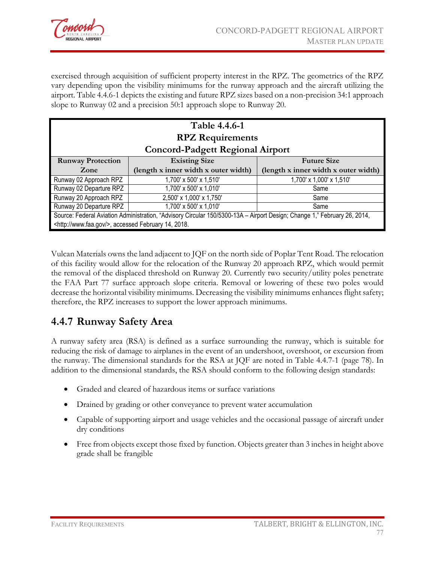

exercised through acquisition of sufficient property interest in the RPZ. The geometrics of the RPZ vary depending upon the visibility minimums for the runway approach and the aircraft utilizing the airport. Table 4.4.6-1 depicts the existing and future RPZ sizes based on a non-precision 34:1 approach slope to Runway 02 and a precision 50:1 approach slope to Runway 20.

| Table 4.4.6-1<br><b>RPZ</b> Requirements                                                                                 |                                                                              |                          |  |  |  |  |
|--------------------------------------------------------------------------------------------------------------------------|------------------------------------------------------------------------------|--------------------------|--|--|--|--|
| <b>Concord-Padgett Regional Airport</b>                                                                                  |                                                                              |                          |  |  |  |  |
| <b>Runway Protection</b>                                                                                                 | <b>Existing Size</b>                                                         | <b>Future Size</b>       |  |  |  |  |
| Zone                                                                                                                     | (length x inner width x outer width)<br>(length x inner width x outer width) |                          |  |  |  |  |
| Runway 02 Approach RPZ                                                                                                   | 1,700' x 500' x 1,510'                                                       | 1,700' x 1,000' x 1,510' |  |  |  |  |
| Runway 02 Departure RPZ                                                                                                  | 1,700' x 500' x 1,010'                                                       | Same                     |  |  |  |  |
| Runway 20 Approach RPZ                                                                                                   | 2,500' x 1,000' x 1,750'                                                     | Same                     |  |  |  |  |
| Runway 20 Departure RPZ<br>1,700' x 500' x 1,010'<br>Same                                                                |                                                                              |                          |  |  |  |  |
| Source: Federal Aviation Administration, "Advisory Circular 150/5300-13A - Airport Design; Change 1," February 26, 2014, |                                                                              |                          |  |  |  |  |
| <http: www.faa.gov=""></http:> , accessed February 14, 2018.                                                             |                                                                              |                          |  |  |  |  |

Vulcan Materials owns the land adjacent to JQF on the north side of Poplar Tent Road. The relocation of this facility would allow for the relocation of the Runway 20 approach RPZ, which would permit the removal of the displaced threshold on Runway 20. Currently two security/utility poles penetrate the FAA Part 77 surface approach slope criteria. Removal or lowering of these two poles would decrease the horizontal visibility minimums. Decreasing the visibility minimums enhances flight safety; therefore, the RPZ increases to support the lower approach minimums.

### **4.4.7 Runway Safety Area**

A runway safety area (RSA) is defined as a surface surrounding the runway, which is suitable for reducing the risk of damage to airplanes in the event of an undershoot, overshoot, or excursion from the runway. The dimensional standards for the RSA at JQF are noted in Table 4.4.7-1 (page 78). In addition to the dimensional standards, the RSA should conform to the following design standards:

- Graded and cleared of hazardous items or surface variations
- Drained by grading or other conveyance to prevent water accumulation
- Capable of supporting airport and usage vehicles and the occasional passage of aircraft under dry conditions
- Free from objects except those fixed by function. Objects greater than 3 inches in height above grade shall be frangible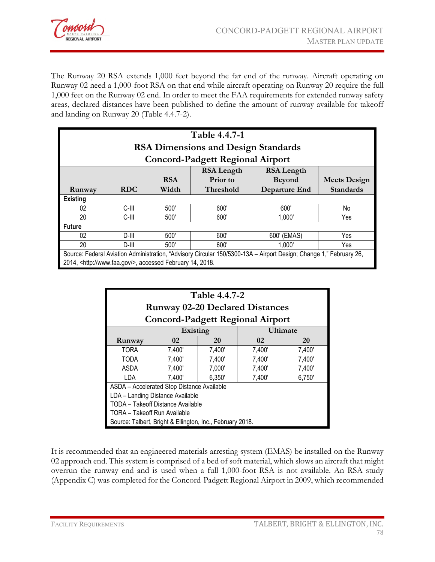

The Runway 20 RSA extends 1,000 feet beyond the far end of the runway. Aircraft operating on Runway 02 need a 1,000-foot RSA on that end while aircraft operating on Runway 20 require the full 1,000 feet on the Runway 02 end. In order to meet the FAA requirements for extended runway safety areas, declared distances have been published to define the amount of runway available for takeoff and landing on Runway 20 (Table 4.4.7-2).

| Table 4.4.7-1                                                                                                      |                                                                              |            |                                         |                   |                     |  |  |  |
|--------------------------------------------------------------------------------------------------------------------|------------------------------------------------------------------------------|------------|-----------------------------------------|-------------------|---------------------|--|--|--|
|                                                                                                                    | <b>RSA Dimensions and Design Standards</b>                                   |            |                                         |                   |                     |  |  |  |
|                                                                                                                    |                                                                              |            | <b>Concord-Padgett Regional Airport</b> |                   |                     |  |  |  |
|                                                                                                                    |                                                                              |            | <b>RSA Length</b>                       | <b>RSA Length</b> |                     |  |  |  |
|                                                                                                                    |                                                                              | <b>RSA</b> | Prior to                                | <b>Beyond</b>     | <b>Meets Design</b> |  |  |  |
| Runway                                                                                                             | <b>RDC</b><br>Width<br><b>Threshold</b><br>Departure End<br><b>Standards</b> |            |                                         |                   |                     |  |  |  |
| <b>Existing</b>                                                                                                    |                                                                              |            |                                         |                   |                     |  |  |  |
| 02                                                                                                                 | C-III                                                                        | 500        | 600'                                    | 600'              | No.                 |  |  |  |
| 20                                                                                                                 | C-III                                                                        | 500'       | 600                                     | 1.000'            | Yes.                |  |  |  |
| <b>Future</b>                                                                                                      |                                                                              |            |                                         |                   |                     |  |  |  |
| 02                                                                                                                 | D-III                                                                        | 500        | 600'                                    | 600' (EMAS)       | Yes                 |  |  |  |
| 20                                                                                                                 | 500'<br>600'<br>1,000'<br>Yes<br>D-III                                       |            |                                         |                   |                     |  |  |  |
| Source: Federal Aviation Administration, "Advisory Circular 150/5300-13A - Airport Design; Change 1," February 26, |                                                                              |            |                                         |                   |                     |  |  |  |
| 2014, <http: www.faa.gov=""></http:> , accessed February 14, 2018.                                                 |                                                                              |            |                                         |                   |                     |  |  |  |

| Table 4.4.7-2<br><b>Runway 02-20 Declared Distances</b>   |                                            |        |                                         |        |  |  |
|-----------------------------------------------------------|--------------------------------------------|--------|-----------------------------------------|--------|--|--|
|                                                           |                                            |        | <b>Concord-Padgett Regional Airport</b> |        |  |  |
|                                                           | Existing                                   |        | Ultimate                                |        |  |  |
| Runway                                                    | 20<br>20<br>02<br>02                       |        |                                         |        |  |  |
| <b>TORA</b>                                               | 7,400'                                     | 7,400' | 7,400'                                  | 7,400' |  |  |
| <b>TODA</b>                                               | 7,400'                                     | 7,400' | 7,400'                                  | 7,400' |  |  |
| ASDA                                                      | 7,400'<br>7,000'<br>7,400'<br>7,400'       |        |                                         |        |  |  |
| LDA                                                       | 7,400'<br>6,350'<br>7,400'<br>6,750'       |        |                                         |        |  |  |
|                                                           | ASDA - Accelerated Stop Distance Available |        |                                         |        |  |  |
| LDA - Landing Distance Available                          |                                            |        |                                         |        |  |  |
| TODA - Takeoff Distance Available                         |                                            |        |                                         |        |  |  |
| TORA - Takeoff Run Available                              |                                            |        |                                         |        |  |  |
| Source: Talbert, Bright & Ellington, Inc., February 2018. |                                            |        |                                         |        |  |  |

It is recommended that an engineered materials arresting system (EMAS) be installed on the Runway 02 approach end. This system is comprised of a bed of soft material, which slows an aircraft that might overrun the runway end and is used when a full 1,000-foot RSA is not available. An RSA study (Appendix C) was completed for the Concord-Padgett Regional Airport in 2009, which recommended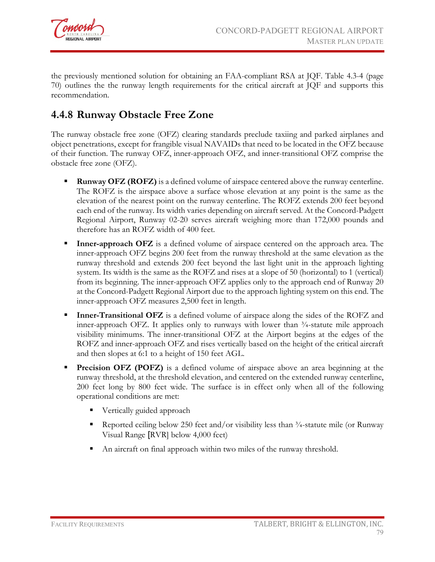

the previously mentioned solution for obtaining an FAA-compliant RSA at JQF. Table 4.3-4 (page 70) outlines the the runway length requirements for the critical aircraft at JQF and supports this recommendation.

# **4.4.8 Runway Obstacle Free Zone**

The runway obstacle free zone (OFZ) clearing standards preclude taxiing and parked airplanes and object penetrations, except for frangible visual NAVAIDs that need to be located in the OFZ because of their function. The runway OFZ, inner-approach OFZ, and inner-transitional OFZ comprise the obstacle free zone (OFZ).

- **Runway OFZ (ROFZ)** is a defined volume of airspace centered above the runway centerline. The ROFZ is the airspace above a surface whose elevation at any point is the same as the elevation of the nearest point on the runway centerline. The ROFZ extends 200 feet beyond each end of the runway. Its width varies depending on aircraft served. At the Concord-Padgett Regional Airport, Runway 02-20 serves aircraft weighing more than 172,000 pounds and therefore has an ROFZ width of 400 feet.
- **Inner-approach OFZ** is a defined volume of airspace centered on the approach area. The inner-approach OFZ begins 200 feet from the runway threshold at the same elevation as the runway threshold and extends 200 feet beyond the last light unit in the approach lighting system. Its width is the same as the ROFZ and rises at a slope of 50 (horizontal) to 1 (vertical) from its beginning. The inner-approach OFZ applies only to the approach end of Runway 20 at the Concord-Padgett Regional Airport due to the approach lighting system on this end. The inner-approach OFZ measures 2,500 feet in length.
- **Inner-Transitional OFZ** is a defined volume of airspace along the sides of the ROFZ and inner-approach OFZ. It applies only to runways with lower than  $\frac{3}{4}$ -statute mile approach visibility minimums. The inner-transitional OFZ at the Airport begins at the edges of the ROFZ and inner-approach OFZ and rises vertically based on the height of the critical aircraft and then slopes at 6:1 to a height of 150 feet AGL.
- **Precision OFZ (POFZ)** is a defined volume of airspace above an area beginning at the runway threshold, at the threshold elevation, and centered on the extended runway centerline, 200 feet long by 800 feet wide. The surface is in effect only when all of the following operational conditions are met:
	- **vertically guided approach**
	- Reported ceiling below 250 feet and/or visibility less than  $\frac{3}{4}$ -statute mile (or Runway Visual Range [RVR] below 4,000 feet)
	- An aircraft on final approach within two miles of the runway threshold.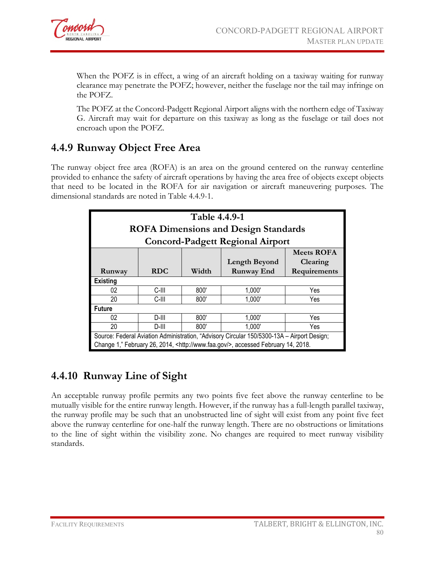

When the POFZ is in effect, a wing of an aircraft holding on a taxiway waiting for runway clearance may penetrate the POFZ; however, neither the fuselage nor the tail may infringe on the POFZ.

The POFZ at the Concord-Padgett Regional Airport aligns with the northern edge of Taxiway G. Aircraft may wait for departure on this taxiway as long as the fuselage or tail does not encroach upon the POFZ.

### **4.4.9 Runway Object Free Area**

The runway object free area (ROFA) is an area on the ground centered on the runway centerline provided to enhance the safety of aircraft operations by having the area free of objects except objects that need to be located in the ROFA for air navigation or aircraft maneuvering purposes. The dimensional standards are noted in Table 4.4.9-1.

| Table 4.4.9-1<br><b>ROFA Dimensions and Design Standards</b> |                                                          |      |                                                                                                                                                                                          |          |  |  |
|--------------------------------------------------------------|----------------------------------------------------------|------|------------------------------------------------------------------------------------------------------------------------------------------------------------------------------------------|----------|--|--|
|                                                              |                                                          |      | <b>Concord-Padgett Regional Airport</b>                                                                                                                                                  |          |  |  |
|                                                              | <b>Meets ROFA</b>                                        |      |                                                                                                                                                                                          |          |  |  |
|                                                              |                                                          |      | <b>Length Beyond</b>                                                                                                                                                                     | Clearing |  |  |
| Runway                                                       | <b>RDC</b><br><b>Runway End</b><br>Width<br>Requirements |      |                                                                                                                                                                                          |          |  |  |
| <b>Existing</b>                                              |                                                          |      |                                                                                                                                                                                          |          |  |  |
| 02                                                           | C-III                                                    | 800' | 1,000'                                                                                                                                                                                   | Yes      |  |  |
| 20                                                           | C-III                                                    | 800' | 1,000'                                                                                                                                                                                   | Yes      |  |  |
| <b>Future</b>                                                |                                                          |      |                                                                                                                                                                                          |          |  |  |
| 02                                                           | D-III                                                    | 800' | 1,000'                                                                                                                                                                                   | Yes      |  |  |
| 20<br>1,000'<br>800'<br>D-III<br>Yes                         |                                                          |      |                                                                                                                                                                                          |          |  |  |
|                                                              |                                                          |      | Source: Federal Aviation Administration, "Advisory Circular 150/5300-13A - Airport Design;<br>Change 1," February 26, 2014, <http: www.faa.gov=""></http:> , accessed February 14, 2018. |          |  |  |

### **4.4.10 Runway Line of Sight**

An acceptable runway profile permits any two points five feet above the runway centerline to be mutually visible for the entire runway length. However, if the runway has a full-length parallel taxiway, the runway profile may be such that an unobstructed line of sight will exist from any point five feet above the runway centerline for one-half the runway length. There are no obstructions or limitations to the line of sight within the visibility zone. No changes are required to meet runway visibility standards.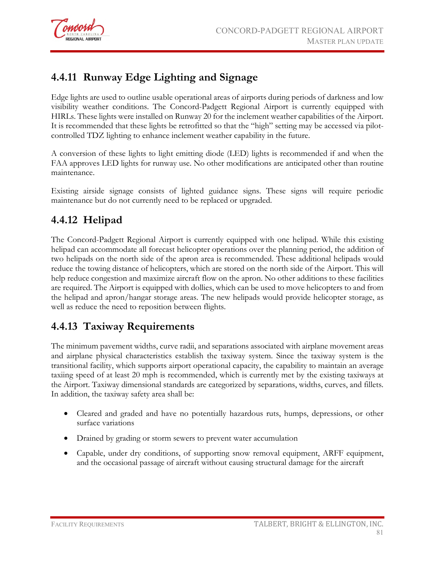

# **4.4.11 Runway Edge Lighting and Signage**

Edge lights are used to outline usable operational areas of airports during periods of darkness and low visibility weather conditions. The Concord-Padgett Regional Airport is currently equipped with HIRLs. These lights were installed on Runway 20 for the inclement weather capabilities of the Airport. It is recommended that these lights be retrofitted so that the "high" setting may be accessed via pilotcontrolled TDZ lighting to enhance inclement weather capability in the future.

A conversion of these lights to light emitting diode (LED) lights is recommended if and when the FAA approves LED lights for runway use. No other modifications are anticipated other than routine maintenance.

Existing airside signage consists of lighted guidance signs. These signs will require periodic maintenance but do not currently need to be replaced or upgraded.

## **4.4.12 Helipad**

The Concord-Padgett Regional Airport is currently equipped with one helipad. While this existing helipad can accommodate all forecast helicopter operations over the planning period, the addition of two helipads on the north side of the apron area is recommended. These additional helipads would reduce the towing distance of helicopters, which are stored on the north side of the Airport. This will help reduce congestion and maximize aircraft flow on the apron. No other additions to these facilities are required. The Airport is equipped with dollies, which can be used to move helicopters to and from the helipad and apron/hangar storage areas. The new helipads would provide helicopter storage, as well as reduce the need to reposition between flights.

### **4.4.13 Taxiway Requirements**

The minimum pavement widths, curve radii, and separations associated with airplane movement areas and airplane physical characteristics establish the taxiway system. Since the taxiway system is the transitional facility, which supports airport operational capacity, the capability to maintain an average taxiing speed of at least 20 mph is recommended, which is currently met by the existing taxiways at the Airport. Taxiway dimensional standards are categorized by separations, widths, curves, and fillets. In addition, the taxiway safety area shall be:

- Cleared and graded and have no potentially hazardous ruts, humps, depressions, or other surface variations
- Drained by grading or storm sewers to prevent water accumulation
- Capable, under dry conditions, of supporting snow removal equipment, ARFF equipment, and the occasional passage of aircraft without causing structural damage for the aircraft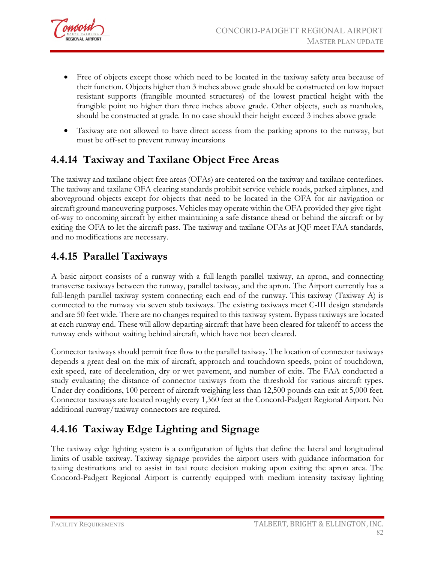

- Free of objects except those which need to be located in the taxiway safety area because of their function. Objects higher than 3 inches above grade should be constructed on low impact resistant supports (frangible mounted structures) of the lowest practical height with the frangible point no higher than three inches above grade. Other objects, such as manholes, should be constructed at grade. In no case should their height exceed 3 inches above grade
- Taxiway are not allowed to have direct access from the parking aprons to the runway, but must be off-set to prevent runway incursions

### **4.4.14 Taxiway and Taxilane Object Free Areas**

The taxiway and taxilane object free areas (OFAs) are centered on the taxiway and taxilane centerlines. The taxiway and taxilane OFA clearing standards prohibit service vehicle roads, parked airplanes, and aboveground objects except for objects that need to be located in the OFA for air navigation or aircraft ground maneuvering purposes. Vehicles may operate within the OFA provided they give rightof-way to oncoming aircraft by either maintaining a safe distance ahead or behind the aircraft or by exiting the OFA to let the aircraft pass. The taxiway and taxilane OFAs at JQF meet FAA standards, and no modifications are necessary.

### **4.4.15 Parallel Taxiways**

A basic airport consists of a runway with a full-length parallel taxiway, an apron, and connecting transverse taxiways between the runway, parallel taxiway, and the apron. The Airport currently has a full-length parallel taxiway system connecting each end of the runway. This taxiway (Taxiway A) is connected to the runway via seven stub taxiways. The existing taxiways meet C-III design standards and are 50 feet wide. There are no changes required to this taxiway system. Bypass taxiways are located at each runway end. These will allow departing aircraft that have been cleared for takeoff to access the runway ends without waiting behind aircraft, which have not been cleared.

Connector taxiways should permit free flow to the parallel taxiway. The location of connector taxiways depends a great deal on the mix of aircraft, approach and touchdown speeds, point of touchdown, exit speed, rate of deceleration, dry or wet pavement, and number of exits. The FAA conducted a study evaluating the distance of connector taxiways from the threshold for various aircraft types. Under dry conditions, 100 percent of aircraft weighing less than 12,500 pounds can exit at 5,000 feet. Connector taxiways are located roughly every 1,360 feet at the Concord-Padgett Regional Airport. No additional runway/taxiway connectors are required.

# **4.4.16 Taxiway Edge Lighting and Signage**

The taxiway edge lighting system is a configuration of lights that define the lateral and longitudinal limits of usable taxiway. Taxiway signage provides the airport users with guidance information for taxiing destinations and to assist in taxi route decision making upon exiting the apron area. The Concord-Padgett Regional Airport is currently equipped with medium intensity taxiway lighting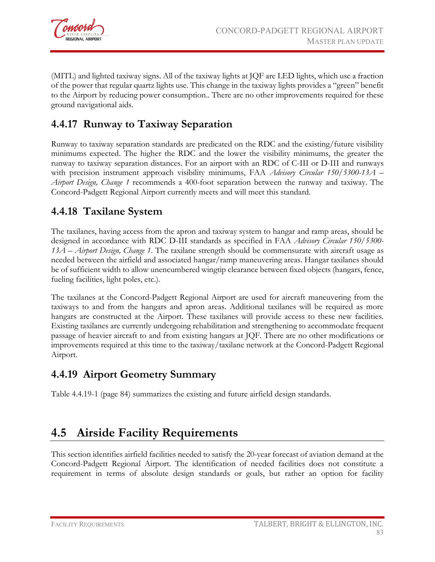

(MITL) and lighted taxiway signs. All of the taxiway lights at JQF are LED lights, which use a fraction of the power that regular quartz lights use. This change in the taxiway lights provides a "green" benefit to the Airport by reducing power consumption.. There are no other improvements required for these ground navigational aids.

# **4.4.17 Runway to Taxiway Separation**

Runway to taxiway separation standards are predicated on the RDC and the existing/future visibility minimums expected. The higher the RDC and the lower the visibility minimums, the greater the runway to taxiway separation distances. For an airport with an RDC of C-III or D-III and runways with precision instrument approach visibility minimums, FAA *Advisory Circular 150/5300-13A – Airport Design, Change 1* recommends a 400-foot separation between the runway and taxiway. The Concord-Padgett Regional Airport currently meets and will meet this standard.

## **4.4.18 Taxilane System**

The taxilanes, having access from the apron and taxiway system to hangar and ramp areas, should be designed in accordance with RDC D-III standards as specified in FAA *Advisory Circular 150/5300- 13A – Airport Design, Change 1*. The taxilane strength should be commensurate with aircraft usage as needed between the airfield and associated hangar/ramp maneuvering areas. Hangar taxilanes should be of sufficient width to allow unencumbered wingtip clearance between fixed objects (hangars, fence, fueling facilities, light poles, etc.).

The taxilanes at the Concord-Padgett Regional Airport are used for aircraft maneuvering from the taxiways to and from the hangars and apron areas. Additional taxilanes will be required as more hangars are constructed at the Airport. These taxilanes will provide access to these new facilities. Existing taxilanes are currently undergoing rehabilitation and strengthening to accommodate frequent passage of heavier aircraft to and from existing hangars at JQF. There are no other modifications or improvements required at this time to the taxiway/taxilane network at the Concord-Padgett Regional Airport.

### **4.4.19 Airport Geometry Summary**

Table 4.4.19-1 (page 84) summarizes the existing and future airfield design standards.

# **4.5 Airside Facility Requirements**

This section identifies airfield facilities needed to satisfy the 20-year forecast of aviation demand at the Concord-Padgett Regional Airport. The identification of needed facilities does not constitute a requirement in terms of absolute design standards or goals, but rather an option for facility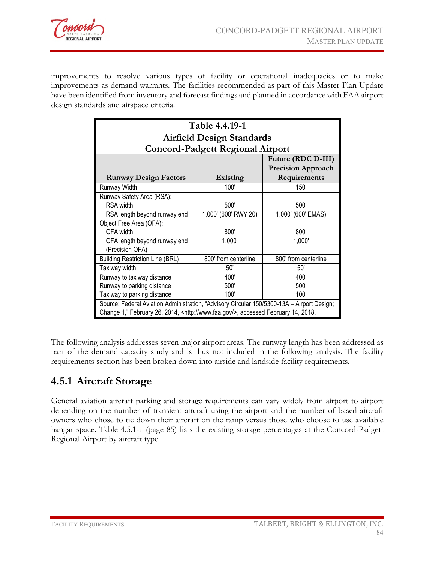

improvements to resolve various types of facility or operational inadequacies or to make improvements as demand warrants. The facilities recommended as part of this Master Plan Update have been identified from inventory and forecast findings and planned in accordance with FAA airport design standards and airspace criteria.

| Table 4.4.19-1                                                                             |                                         |                           |  |  |  |
|--------------------------------------------------------------------------------------------|-----------------------------------------|---------------------------|--|--|--|
| <b>Airfield Design Standards</b>                                                           |                                         |                           |  |  |  |
|                                                                                            | <b>Concord-Padgett Regional Airport</b> |                           |  |  |  |
|                                                                                            |                                         | Future (RDC D-III)        |  |  |  |
|                                                                                            |                                         | <b>Precision Approach</b> |  |  |  |
| <b>Runway Design Factors</b>                                                               | Existing                                | Requirements              |  |  |  |
| Runway Width                                                                               | 100'                                    | 150'                      |  |  |  |
| Runway Safety Area (RSA):                                                                  |                                         |                           |  |  |  |
| <b>RSA</b> width                                                                           | 500'                                    | 500'                      |  |  |  |
| RSA length beyond runway end                                                               | 1,000' (600' RWY 20)                    | 1,000' (600' EMAS)        |  |  |  |
| Object Free Area (OFA):                                                                    |                                         |                           |  |  |  |
| OFA width                                                                                  | 800'                                    | 800'                      |  |  |  |
| OFA length beyond runway end                                                               | 1,000'                                  | 1,000'                    |  |  |  |
| (Precision OFA)                                                                            |                                         |                           |  |  |  |
| <b>Building Restriction Line (BRL)</b>                                                     | 800' from centerline                    | 800' from centerline      |  |  |  |
| Taxiway width                                                                              | 50'                                     | 50'                       |  |  |  |
| Runway to taxiway distance                                                                 | 400'                                    | 400'                      |  |  |  |
| Runway to parking distance                                                                 | 500'                                    | 500'                      |  |  |  |
| 100'<br>Taxiway to parking distance<br>100'                                                |                                         |                           |  |  |  |
| Source: Federal Aviation Administration, "Advisory Circular 150/5300-13A - Airport Design; |                                         |                           |  |  |  |
| Change 1," February 26, 2014, <http: www.faa.gov=""></http:> , accessed February 14, 2018. |                                         |                           |  |  |  |

The following analysis addresses seven major airport areas. The runway length has been addressed as part of the demand capacity study and is thus not included in the following analysis. The facility requirements section has been broken down into airside and landside facility requirements.

### **4.5.1 Aircraft Storage**

General aviation aircraft parking and storage requirements can vary widely from airport to airport depending on the number of transient aircraft using the airport and the number of based aircraft owners who chose to tie down their aircraft on the ramp versus those who choose to use available hangar space. Table 4.5.1-1 (page 85) lists the existing storage percentages at the Concord-Padgett Regional Airport by aircraft type.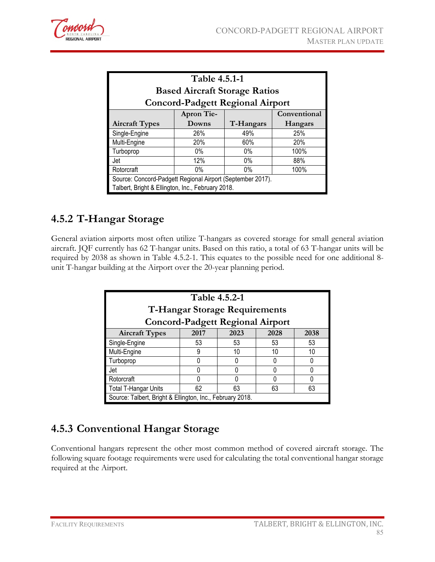

| Table 4.5.1-1<br><b>Based Aircraft Storage Ratios</b><br><b>Concord-Padgett Regional Airport</b>                |                               |            |              |  |  |  |
|-----------------------------------------------------------------------------------------------------------------|-------------------------------|------------|--------------|--|--|--|
|                                                                                                                 | <b>Apron Tie-</b>             |            | Conventional |  |  |  |
| <b>Aircraft Types</b>                                                                                           | T-Hangars<br>Downs<br>Hangars |            |              |  |  |  |
| Single-Engine                                                                                                   | 26%                           | 25%<br>49% |              |  |  |  |
| Multi-Engine                                                                                                    | 20%<br>60%<br>20%             |            |              |  |  |  |
| Turboprop                                                                                                       | $0\%$                         | $0\%$      | 100%         |  |  |  |
| 88%<br>12%<br>$0\%$<br>Jet                                                                                      |                               |            |              |  |  |  |
| 100%<br>Rotorcraft<br>$0\%$<br>$0\%$                                                                            |                               |            |              |  |  |  |
| Source: Concord-Padgett Regional Airport (September 2017).<br>Talbert, Bright & Ellington, Inc., February 2018. |                               |            |              |  |  |  |

## **4.5.2 T-Hangar Storage**

General aviation airports most often utilize T-hangars as covered storage for small general aviation aircraft. JQF currently has 62 T-hangar units. Based on this ratio, a total of 63 T-hangar units will be required by 2038 as shown in Table 4.5.2-1. This equates to the possible need for one additional 8 unit T-hangar building at the Airport over the 20-year planning period.

| Table 4.5.2-1<br><b>T-Hangar Storage Requirements</b><br><b>Concord-Padgett Regional Airport</b> |                              |    |    |    |  |  |
|--------------------------------------------------------------------------------------------------|------------------------------|----|----|----|--|--|
| <b>Aircraft Types</b>                                                                            | 2017<br>2023<br>2028<br>2038 |    |    |    |  |  |
| Single-Engine                                                                                    | 53                           | 53 | 53 | 53 |  |  |
| Multi-Engine                                                                                     | 9                            | 10 | 10 | 10 |  |  |
| Turboprop                                                                                        |                              |    |    |    |  |  |
| Jet                                                                                              |                              |    |    |    |  |  |
| Rotorcraft                                                                                       |                              |    |    |    |  |  |
| 63<br>63<br><b>Total T-Hangar Units</b><br>62<br>63                                              |                              |    |    |    |  |  |
| Source: Talbert, Bright & Ellington, Inc., February 2018.                                        |                              |    |    |    |  |  |

# **4.5.3 Conventional Hangar Storage**

Conventional hangars represent the other most common method of covered aircraft storage. The following square footage requirements were used for calculating the total conventional hangar storage required at the Airport.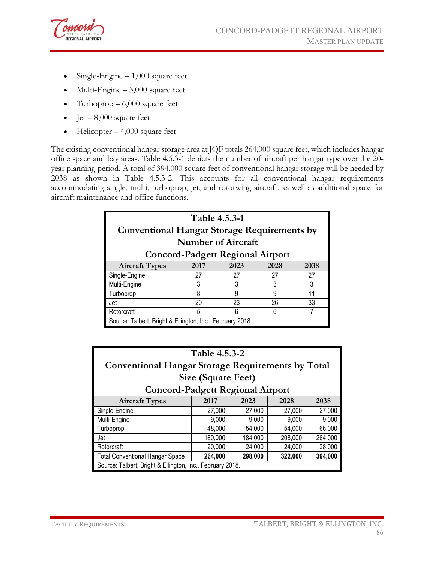

- Single-Engine  $-1,000$  square feet
- Multi-Engine 3,000 square feet
- Turboprop  $-6,000$  square feet
- Jet  $8,000$  square feet
- Helicopter  $-4,000$  square feet

The existing conventional hangar storage area at JQF totals 264,000 square feet, which includes hangar office space and bay areas. Table 4.5.3-1 depicts the number of aircraft per hangar type over the 20 year planning period. A total of 394,000 square feet of conventional hangar storage will be needed by 2038 as shown in Table 4.5.3-2. This accounts for all conventional hangar requirements accommodating single, multi, turboprop, jet, and rotorwing aircraft, as well as additional space for aircraft maintenance and office functions.

| Table 4.5.3-1<br><b>Conventional Hangar Storage Requirements by</b> |                              |                                         |    |    |  |  |
|---------------------------------------------------------------------|------------------------------|-----------------------------------------|----|----|--|--|
|                                                                     |                              | <b>Number of Aircraft</b>               |    |    |  |  |
|                                                                     |                              | <b>Concord-Padgett Regional Airport</b> |    |    |  |  |
| <b>Aircraft Types</b>                                               | 2017<br>2023<br>2028<br>2038 |                                         |    |    |  |  |
| Single-Engine                                                       | 27                           | 27                                      | 27 | 27 |  |  |
| Multi-Engine                                                        | 3                            | 3                                       | 3  | 3  |  |  |
| Turboprop                                                           | 11<br>8<br>9<br>9            |                                         |    |    |  |  |
| 26<br>20<br>33<br>23<br>Jet                                         |                              |                                         |    |    |  |  |
| Rotorcraft<br>5<br>6<br>6                                           |                              |                                         |    |    |  |  |
| Source: Talbert, Bright & Ellington, Inc., February 2018.           |                              |                                         |    |    |  |  |

| Table 4.5.3-2<br><b>Conventional Hangar Storage Requirements by Total</b>                        |                                          |         |         |         |  |  |  |
|--------------------------------------------------------------------------------------------------|------------------------------------------|---------|---------|---------|--|--|--|
|                                                                                                  | <b>Size (Square Feet)</b>                |         |         |         |  |  |  |
| <b>Concord-Padgett Regional Airport</b><br>2038<br>2017<br>2028<br><b>Aircraft Types</b><br>2023 |                                          |         |         |         |  |  |  |
| Single-Engine                                                                                    | 27,000<br>27,000<br>27,000<br>27,000     |         |         |         |  |  |  |
| Multi-Engine                                                                                     | 9,000<br>9,000<br>9,000<br>9,000         |         |         |         |  |  |  |
| Turboprop                                                                                        | 48,000<br>54,000<br>54,000<br>66,000     |         |         |         |  |  |  |
| Jet                                                                                              | 184,000<br>208,000<br>264,000<br>160,000 |         |         |         |  |  |  |
| 20,000<br>24,000<br>24,000<br>28,000<br>Rotorcraft                                               |                                          |         |         |         |  |  |  |
| <b>Total Conventional Hangar Space</b>                                                           | 264,000                                  | 298,000 | 322,000 | 394,000 |  |  |  |
| Source: Talbert, Bright & Ellington, Inc., February 2018.                                        |                                          |         |         |         |  |  |  |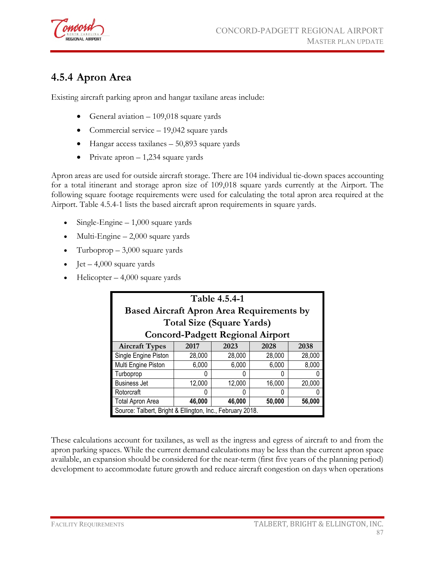

# **4.5.4 Apron Area**

Existing aircraft parking apron and hangar taxilane areas include:

- General aviation 109,018 square yards
- Commercial service 19,042 square yards
- Hangar access taxilanes 50,893 square yards
- Private apron  $-1,234$  square yards

Apron areas are used for outside aircraft storage. There are 104 individual tie-down spaces accounting for a total itinerant and storage apron size of 109,018 square yards currently at the Airport. The following square footage requirements were used for calculating the total apron area required at the Airport. Table 4.5.4-1 lists the based aircraft apron requirements in square yards.

- Single-Engine  $-1,000$  square yards
- Multi-Engine  $-2,000$  square yards
- Turboprop  $-3,000$  square yards
- Jet 4,000 square yards
- $Helicopter 4,000$  square yards

| Table 4.5.4-1<br><b>Based Aircraft Apron Area Requirements by</b><br><b>Total Size (Square Yards)</b><br><b>Concord-Padgett Regional Airport</b> |                              |        |        |        |  |  |
|--------------------------------------------------------------------------------------------------------------------------------------------------|------------------------------|--------|--------|--------|--|--|
| <b>Aircraft Types</b>                                                                                                                            | 2017<br>2023<br>2028<br>2038 |        |        |        |  |  |
| Single Engine Piston                                                                                                                             | 28,000                       | 28,000 | 28,000 | 28,000 |  |  |
| Multi Engine Piston                                                                                                                              | 6,000                        | 6,000  | 6,000  | 8,000  |  |  |
| Turboprop                                                                                                                                        | O                            |        | Ω      |        |  |  |
| <b>Business Jet</b>                                                                                                                              | 12,000                       | 12,000 | 16,000 | 20,000 |  |  |
| Rotorcraft<br>U                                                                                                                                  |                              |        |        |        |  |  |
| Total Apron Area<br>46,000<br>46,000<br>50,000<br>56,000                                                                                         |                              |        |        |        |  |  |
| Source: Talbert, Bright & Ellington, Inc., February 2018.                                                                                        |                              |        |        |        |  |  |

These calculations account for taxilanes, as well as the ingress and egress of aircraft to and from the apron parking spaces. While the current demand calculations may be less than the current apron space available, an expansion should be considered for the near-term (first five years of the planning period) development to accommodate future growth and reduce aircraft congestion on days when operations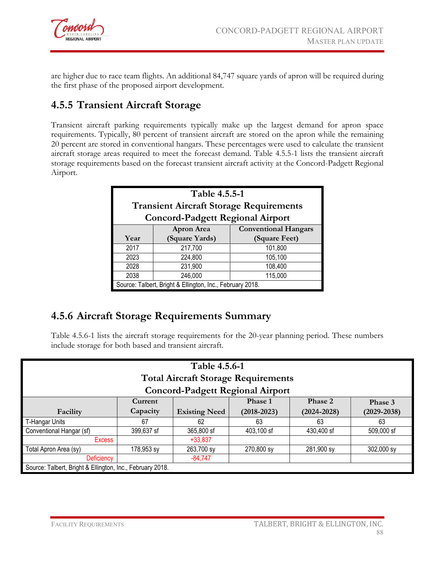

are higher due to race team flights. An additional 84,747 square yards of apron will be required during the first phase of the proposed airport development.

# **4.5.5 Transient Aircraft Storage**

Transient aircraft parking requirements typically make up the largest demand for apron space requirements. Typically, 80 percent of transient aircraft are stored on the apron while the remaining 20 percent are stored in conventional hangars. These percentages were used to calculate the transient aircraft storage areas required to meet the forecast demand. Table 4.5.5-1 lists the transient aircraft storage requirements based on the forecast transient aircraft activity at the Concord-Padgett Regional Airport.

| Table 4.5.5-1<br><b>Transient Aircraft Storage Requirements</b><br><b>Concord-Padgett Regional Airport</b> |                                                           |               |  |  |  |
|------------------------------------------------------------------------------------------------------------|-----------------------------------------------------------|---------------|--|--|--|
|                                                                                                            | <b>Conventional Hangars</b><br><b>Apron Area</b>          |               |  |  |  |
| Year                                                                                                       | (Square Yards)                                            | (Square Feet) |  |  |  |
| 2017                                                                                                       | 217,700                                                   | 101,800       |  |  |  |
| 2023                                                                                                       | 224,800                                                   | 105,100       |  |  |  |
| 2028                                                                                                       | 231,900                                                   | 108,400       |  |  |  |
| 2038                                                                                                       | 246,000<br>115,000                                        |               |  |  |  |
|                                                                                                            | Source: Talbert, Bright & Ellington, Inc., February 2018. |               |  |  |  |

# **4.5.6 Aircraft Storage Requirements Summary**

Table 4.5.6-1 lists the aircraft storage requirements for the 20-year planning period. These numbers include storage for both based and transient aircraft.

| Table 4.5.6-1<br><b>Total Aircraft Storage Requirements</b><br><b>Concord-Padgett Regional Airport</b> |                                                                    |                      |                 |                 |                 |  |
|--------------------------------------------------------------------------------------------------------|--------------------------------------------------------------------|----------------------|-----------------|-----------------|-----------------|--|
|                                                                                                        | Current                                                            |                      | Phase 1         | Phase 2         | Phase 3         |  |
| Facility                                                                                               | Capacity                                                           | <b>Existing Need</b> | $(2018 - 2023)$ | $(2024 - 2028)$ | $(2029 - 2038)$ |  |
| T-Hangar Units                                                                                         | 67                                                                 | 62                   | 63              | 63              | 63              |  |
| Conventional Hangar (sf)                                                                               | 365,800 sf<br>399,637 sf<br>403,100 sf<br>430,400 sf<br>509,000 sf |                      |                 |                 |                 |  |
| <b>Excess</b>                                                                                          |                                                                    | $+33,837$            |                 |                 |                 |  |
| Total Apron Area (sy)<br>178,953 sy<br>263,700 sy<br>270,800 sy<br>281,900 sy<br>302,000 sy            |                                                                    |                      |                 |                 |                 |  |
| <b>Deficiency</b>                                                                                      |                                                                    | $-84,747$            |                 |                 |                 |  |
| Source: Talbert, Bright & Ellington, Inc., February 2018.                                              |                                                                    |                      |                 |                 |                 |  |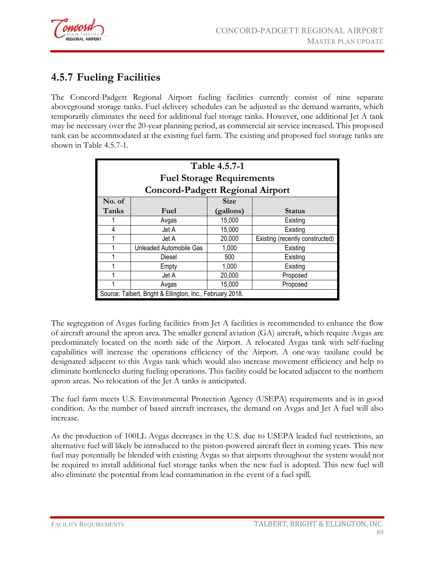

# **4.5.7 Fueling Facilities**

The Concord-Padgett Regional Airport fueling facilities currently consist of nine separate aboveground storage tanks. Fuel delivery schedules can be adjusted as the demand warrants, which temporarily eliminates the need for additional fuel storage tanks. However, one additional Jet A tank may be necessary over the 20-year planning period, as commercial air service increased. This proposed tank can be accommodated at the existing fuel farm. The existing and proposed fuel storage tanks are shown in Table 4.5.7-1.

| Table 4.5.7-1<br><b>Fuel Storage Requirements</b> |                                                           |             |                                 |  |  |
|---------------------------------------------------|-----------------------------------------------------------|-------------|---------------------------------|--|--|
|                                                   | <b>Concord-Padgett Regional Airport</b>                   |             |                                 |  |  |
| No. of                                            |                                                           | <b>Size</b> |                                 |  |  |
| Tanks                                             | Fuel                                                      | (gallons)   | <b>Status</b>                   |  |  |
|                                                   | Avgas                                                     | 15,000      | Existing                        |  |  |
| 4                                                 | Jet A                                                     | 15,000      | Existing                        |  |  |
|                                                   | Jet A                                                     | 20,000      | Existing (recently constructed) |  |  |
|                                                   | Unleaded Automobile Gas                                   | 1,000       | Existing                        |  |  |
|                                                   | Diesel                                                    | 500         | Existing                        |  |  |
|                                                   | Empty                                                     | 1,000       | Existing                        |  |  |
|                                                   | Jet A                                                     | 20,000      | Proposed                        |  |  |
|                                                   | 15,000<br>Proposed<br>Avgas                               |             |                                 |  |  |
|                                                   | Source: Talbert, Bright & Ellington, Inc., February 2018. |             |                                 |  |  |

The segregation of Avgas fueling facilities from Jet A facilities is recommended to enhance the flow of aircraft around the apron area. The smaller general aviation (GA) aircraft, which require Avgas are predominately located on the north side of the Airport. A relocated Avgas tank with self-fueling capabilities will increase the operations efficiency of the Airport. A one-way taxilane could be designated adjacent to this Avgas tank which would also increase movement efficiency and help to eliminate bottlenecks during fueling operations. This facility could be located adjacent to the northern apron areas. No relocation of the Jet A tanks is anticipated.

The fuel farm meets U.S. Environmental Protection Agency (USEPA) requirements and is in good condition. As the number of based aircraft increases, the demand on Avgas and Jet A fuel will also increase.

As the production of 100LL Avgas decreases in the U.S. due to USEPA leaded fuel restrictions, an alternative fuel will likely be introduced to the piston-powered aircraft fleet in coming years. This new fuel may potentially be blended with existing Avgas so that airports throughout the system would not be required to install additional fuel storage tanks when the new fuel is adopted. This new fuel will also eliminate the potential from lead contamination in the event of a fuel spill.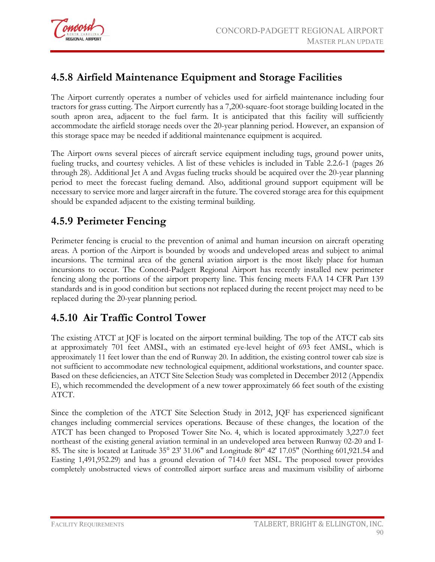

# **4.5.8 Airfield Maintenance Equipment and Storage Facilities**

The Airport currently operates a number of vehicles used for airfield maintenance including four tractors for grass cutting. The Airport currently has a 7,200-square-foot storage building located in the south apron area, adjacent to the fuel farm. It is anticipated that this facility will sufficiently accommodate the airfield storage needs over the 20-year planning period. However, an expansion of this storage space may be needed if additional maintenance equipment is acquired.

The Airport owns several pieces of aircraft service equipment including tugs, ground power units, fueling trucks, and courtesy vehicles. A list of these vehicles is included in Table 2.2.6-1 (pages 26 through 28). Additional Jet A and Avgas fueling trucks should be acquired over the 20-year planning period to meet the forecast fueling demand. Also, additional ground support equipment will be necessary to service more and larger aircraft in the future. The covered storage area for this equipment should be expanded adjacent to the existing terminal building.

## **4.5.9 Perimeter Fencing**

Perimeter fencing is crucial to the prevention of animal and human incursion on aircraft operating areas. A portion of the Airport is bounded by woods and undeveloped areas and subject to animal incursions. The terminal area of the general aviation airport is the most likely place for human incursions to occur. The Concord-Padgett Regional Airport has recently installed new perimeter fencing along the portions of the airport property line. This fencing meets FAA 14 CFR Part 139 standards and is in good condition but sections not replaced during the recent project may need to be replaced during the 20-year planning period.

### **4.5.10 Air Traffic Control Tower**

The existing ATCT at JQF is located on the airport terminal building. The top of the ATCT cab sits at approximately 701 feet AMSL, with an estimated eye-level height of 693 feet AMSL, which is approximately 11 feet lower than the end of Runway 20. In addition, the existing control tower cab size is not sufficient to accommodate new technological equipment, additional workstations, and counter space. Based on these deficiencies, an ATCT Site Selection Study was completed in December 2012 (Appendix E), which recommended the development of a new tower approximately 66 feet south of the existing ATCT.

Since the completion of the ATCT Site Selection Study in 2012, JQF has experienced significant changes including commercial services operations. Because of these changes, the location of the ATCT has been changed to Proposed Tower Site No. 4, which is located approximately 3,227.0 feet northeast of the existing general aviation terminal in an undeveloped area between Runway 02-20 and I-85. The site is located at Latitude 35° 23' 31.06" and Longitude 80° 42' 17.05" (Northing 601,921.54 and Easting 1,491,952.29) and has a ground elevation of 714.0 feet MSL. The proposed tower provides completely unobstructed views of controlled airport surface areas and maximum visibility of airborne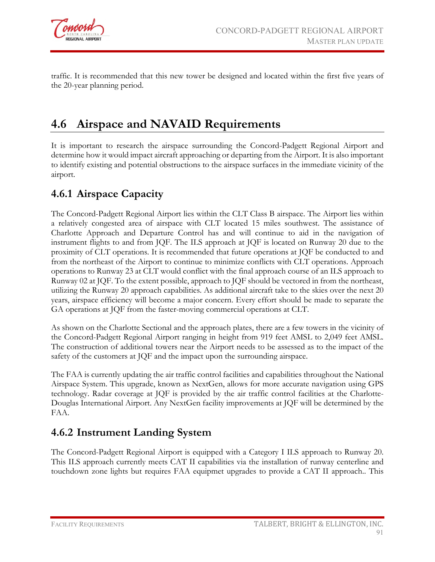

traffic. It is recommended that this new tower be designed and located within the first five years of the 20-year planning period.

# **4.6 Airspace and NAVAID Requirements**

It is important to research the airspace surrounding the Concord-Padgett Regional Airport and determine how it would impact aircraft approaching or departing from the Airport. It is also important to identify existing and potential obstructions to the airspace surfaces in the immediate vicinity of the airport.

## **4.6.1 Airspace Capacity**

The Concord-Padgett Regional Airport lies within the CLT Class B airspace. The Airport lies within a relatively congested area of airspace with CLT located 15 miles southwest. The assistance of Charlotte Approach and Departure Control has and will continue to aid in the navigation of instrument flights to and from JQF. The ILS approach at JQF is located on Runway 20 due to the proximity of CLT operations. It is recommended that future operations at JQF be conducted to and from the northeast of the Airport to continue to minimize conflicts with CLT operations. Approach operations to Runway 23 at CLT would conflict with the final approach course of an ILS approach to Runway 02 at JQF. To the extent possible, approach to JQF should be vectored in from the northeast, utilizing the Runway 20 approach capabilities. As additional aircraft take to the skies over the next 20 years, airspace efficiency will become a major concern. Every effort should be made to separate the GA operations at JQF from the faster-moving commercial operations at CLT.

As shown on the Charlotte Sectional and the approach plates, there are a few towers in the vicinity of the Concord-Padgett Regional Airport ranging in height from 919 feet AMSL to 2,049 feet AMSL. The construction of additional towers near the Airport needs to be assessed as to the impact of the safety of the customers at JQF and the impact upon the surrounding airspace.

The FAA is currently updating the air traffic control facilities and capabilities throughout the National Airspace System. This upgrade, known as NextGen, allows for more accurate navigation using GPS technology. Radar coverage at JQF is provided by the air traffic control facilities at the Charlotte-Douglas International Airport. Any NextGen facility improvements at JQF will be determined by the FAA.

# **4.6.2 Instrument Landing System**

The Concord-Padgett Regional Airport is equipped with a Category I ILS approach to Runway 20. This ILS approach currently meets CAT II capabilities via the installation of runway centerline and touchdown zone lights but requires FAA equipmet upgrades to provide a CAT II approach.. This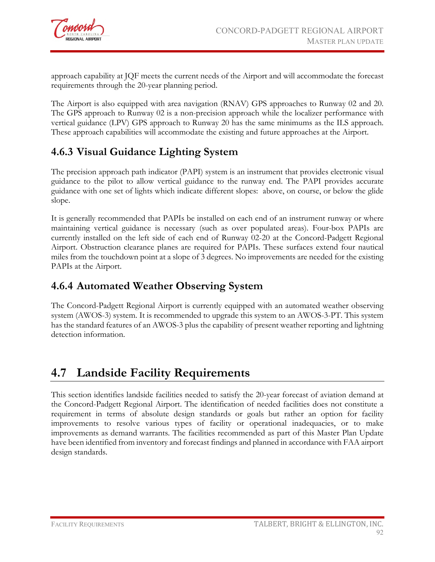

approach capability at JQF meets the current needs of the Airport and will accommodate the forecast requirements through the 20-year planning period.

The Airport is also equipped with area navigation (RNAV) GPS approaches to Runway 02 and 20. The GPS approach to Runway 02 is a non-precision approach while the localizer performance with vertical guidance (LPV) GPS approach to Runway 20 has the same minimums as the ILS approach. These approach capabilities will accommodate the existing and future approaches at the Airport.

## **4.6.3 Visual Guidance Lighting System**

The precision approach path indicator (PAPI) system is an instrument that provides electronic visual guidance to the pilot to allow vertical guidance to the runway end. The PAPI provides accurate guidance with one set of lights which indicate different slopes: above, on course, or below the glide slope.

It is generally recommended that PAPIs be installed on each end of an instrument runway or where maintaining vertical guidance is necessary (such as over populated areas). Four-box PAPIs are currently installed on the left side of each end of Runway 02-20 at the Concord-Padgett Regional Airport. Obstruction clearance planes are required for PAPIs. These surfaces extend four nautical miles from the touchdown point at a slope of 3 degrees. No improvements are needed for the existing PAPIs at the Airport.

### **4.6.4 Automated Weather Observing System**

The Concord-Padgett Regional Airport is currently equipped with an automated weather observing system (AWOS-3) system. It is recommended to upgrade this system to an AWOS-3-PT. This system has the standard features of an AWOS-3 plus the capability of present weather reporting and lightning detection information.

# **4.7 Landside Facility Requirements**

This section identifies landside facilities needed to satisfy the 20-year forecast of aviation demand at the Concord-Padgett Regional Airport. The identification of needed facilities does not constitute a requirement in terms of absolute design standards or goals but rather an option for facility improvements to resolve various types of facility or operational inadequacies, or to make improvements as demand warrants. The facilities recommended as part of this Master Plan Update have been identified from inventory and forecast findings and planned in accordance with FAA airport design standards.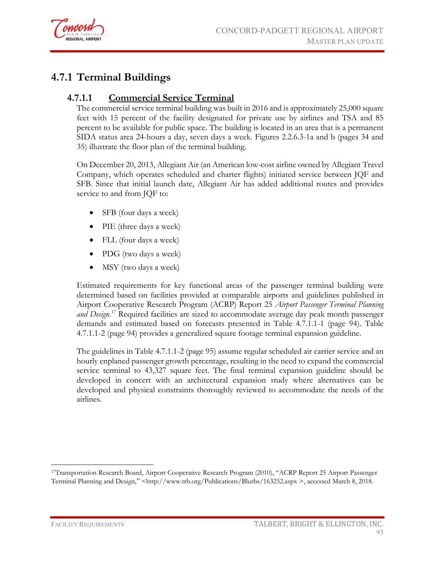

# **4.7.1 Terminal Buildings**

#### **4.7.1.1 Commercial Service Terminal**

The commercial service terminal building was built in 2016 and is approximately 25,000 square feet with 15 percent of the facility designated for private use by airlines and TSA and 85 percent to be available for public space. The building is located in an area that is a permanent SIDA status area 24-hours a day, seven days a week. Figures 2.2.6.3-1a and b (pages 34 and 35) illustrate the floor plan of the terminal building.

On December 20, 2013, Allegiant Air (an America[n low-cost](http://en.wikipedia.org/wiki/Low-cost_carrier) [airline](http://en.wikipedia.org/wiki/Airline) owned by Allegiant Travel Company, which operates scheduled and charter flights) initiated service between JQF and SFB. Since that initial launch date, Allegiant Air has added additional routes and provides service to and from JQF to:

- SFB (four days a week)
- PIE (three days a week)
- FLL (four days a week)
- PDG (two days a week)
- MSY (two days a week)

Estimated requirements for key functional areas of the passenger terminal building were determined based on facilities provided at comparable airports and guidelines published in Airport Cooperative Research Program (ACRP) Report 25 *Airport Passenger Terminal Planning and Design*. [17](#page-27-0) Required facilities are sized to accommodate average day peak month passenger demands and estimated based on forecasts presented in Table 4.7.1.1-1 (page 94). Table 4.7.1.1-2 (page 94) provides a generalized square footage terminal expansion guideline.

The guidelines in Table 4.7.1.1-2 (page 95) assume regular scheduled air carrier service and an hourly enplaned passenger growth percentage, resulting in the need to expand the commercial service terminal to 43,327 square feet. The final terminal expansion guideline should be developed in concert with an architectural expansion study where alternatives can be developed and physical constraints thoroughly reviewed to accommodate the needs of the airlines.

<span id="page-27-0"></span> $\overline{a}$ 17Transportation Research Board, Airport Cooperative Research Program (2010), "ACRP Report 25 Airport Passenger Terminal Planning and Design," <http://www.trb.org/Publications/Blurbs/163252.aspx >, accessed March 8, 2018.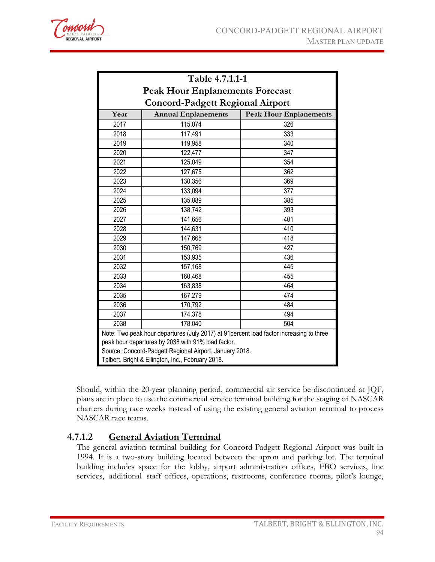

| Table 4.7.1.1-1                                                                                                                                                                                           |                                         |                               |  |  |  |
|-----------------------------------------------------------------------------------------------------------------------------------------------------------------------------------------------------------|-----------------------------------------|-------------------------------|--|--|--|
| <b>Peak Hour Enplanements Forecast</b>                                                                                                                                                                    |                                         |                               |  |  |  |
|                                                                                                                                                                                                           | <b>Concord-Padgett Regional Airport</b> |                               |  |  |  |
| Year                                                                                                                                                                                                      | <b>Annual Enplanements</b>              | <b>Peak Hour Enplanements</b> |  |  |  |
| 2017                                                                                                                                                                                                      | 115,074                                 | 326                           |  |  |  |
| 2018                                                                                                                                                                                                      | 117,491                                 | 333                           |  |  |  |
| 2019                                                                                                                                                                                                      | 119,958                                 | 340                           |  |  |  |
| 2020                                                                                                                                                                                                      | 122,477                                 | 347                           |  |  |  |
| 2021                                                                                                                                                                                                      | 125,049                                 | 354                           |  |  |  |
| 2022                                                                                                                                                                                                      | 127,675                                 | 362                           |  |  |  |
| 2023                                                                                                                                                                                                      | 130,356                                 | 369                           |  |  |  |
| 2024                                                                                                                                                                                                      | 133,094                                 | 377                           |  |  |  |
| 2025                                                                                                                                                                                                      | 135,889                                 | 385                           |  |  |  |
| 2026                                                                                                                                                                                                      | 138,742                                 | 393                           |  |  |  |
| 2027                                                                                                                                                                                                      | 141,656                                 | 401                           |  |  |  |
| 2028                                                                                                                                                                                                      | 144,631                                 | 410                           |  |  |  |
| 2029                                                                                                                                                                                                      | 147,668                                 | 418                           |  |  |  |
| 2030                                                                                                                                                                                                      | 150,769                                 | 427                           |  |  |  |
| 2031                                                                                                                                                                                                      | 153,935                                 | 436                           |  |  |  |
| 2032                                                                                                                                                                                                      | 157,168                                 | 445                           |  |  |  |
| 2033                                                                                                                                                                                                      | 160,468                                 | 455                           |  |  |  |
| 2034                                                                                                                                                                                                      | 163,838                                 | 464                           |  |  |  |
| 2035                                                                                                                                                                                                      | 167,279                                 | 474                           |  |  |  |
| 2036                                                                                                                                                                                                      | 170,792                                 | 484                           |  |  |  |
| 2037                                                                                                                                                                                                      | 174,378                                 | 494                           |  |  |  |
| 2038                                                                                                                                                                                                      | 178,040                                 | 504                           |  |  |  |
| Note: Two peak hour departures (July 2017) at 91 percent load factor increasing to three<br>peak hour departures by 2038 with 91% load factor.<br>Source: Concord-Padgett Regional Airport, January 2018. |                                         |                               |  |  |  |
| Talbert, Bright & Ellington, Inc., February 2018.                                                                                                                                                         |                                         |                               |  |  |  |

Should, within the 20-year planning period, commercial air service be discontinued at JQF, plans are in place to use the commercial service terminal building for the staging of NASCAR charters during race weeks instead of using the existing general aviation terminal to process NASCAR race teams.

#### **4.7.1.2 General Aviation Terminal**

The general aviation terminal building for Concord-Padgett Regional Airport was built in 1994. It is a two-story building located between the apron and parking lot. The terminal building includes space for the lobby, airport administration offices, FBO services, line services, additional staff offices, operations, restrooms, conference rooms, pilot's lounge,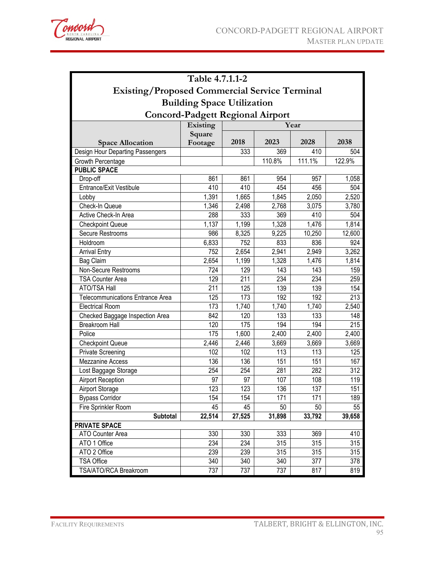

| Table 4.7.1.1-2                                      |                   |        |                    |                    |        |  |
|------------------------------------------------------|-------------------|--------|--------------------|--------------------|--------|--|
| <b>Existing/Proposed Commercial Service Terminal</b> |                   |        |                    |                    |        |  |
|                                                      |                   |        |                    |                    |        |  |
| <b>Building Space Utilization</b>                    |                   |        |                    |                    |        |  |
| <b>Concord-Padgett Regional Airport</b>              |                   |        |                    |                    |        |  |
|                                                      | Existing          | Year   |                    |                    |        |  |
| <b>Space Allocation</b>                              | Square<br>Footage | 2018   | 2023               | 2028               | 2038   |  |
| Design Hour Departing Passengers                     |                   | 333    | 369                | 410                | 504    |  |
| Growth Percentage                                    |                   |        | 110.8%             | 111.1%             | 122.9% |  |
| <b>PUBLIC SPACE</b>                                  |                   |        |                    |                    |        |  |
| Drop-off                                             | 861               | 861    | 954                | 957                | 1,058  |  |
| Entrance/Exit Vestibule                              | 410               | 410    | 454                | 456                | 504    |  |
| Lobby                                                | 1,391             | 1,665  | 1,845              | 2,050              | 2,520  |  |
| Check-In Queue                                       | 1,346             | 2,498  | 2,768              | 3,075              | 3,780  |  |
| Active Check-In Area                                 | 288               | 333    | 369                | 410                | 504    |  |
| <b>Checkpoint Queue</b>                              | 1,137             | 1,199  | 1,328              | $\overline{1,}476$ | 1,814  |  |
| Secure Restrooms                                     | 986               | 8,325  | $\overline{9,225}$ | 10,250             | 12,600 |  |
| Holdroom                                             | 6,833             | 752    | 833                | 836                | 924    |  |
| <b>Arrival Entry</b>                                 | 752               | 2,654  | 2,941              | 2,949              | 3,262  |  |
| <b>Bag Claim</b>                                     | 2,654             | 1,199  | 1,328              | 1,476              | 1,814  |  |
| Non-Secure Restrooms                                 | 724               | 129    | 143                | 143                | 159    |  |
| <b>TSA Counter Area</b>                              | 129               | 211    | 234                | 234                | 259    |  |
| ATO/TSA Hall                                         | 211               | 125    | 139                | 139                | 154    |  |
| Telecommunications Entrance Area                     | 125               | 173    | 192                | 192                | 213    |  |
| <b>Electrical Room</b>                               | 173               | 1,740  | 1,740              | 1,740              | 2,540  |  |
| Checked Baggage Inspection Area                      | 842               | 120    | 133                | 133                | 148    |  |
| <b>Breakroom Hall</b>                                | 120               | 175    | 194                | 194                | 215    |  |
| Police                                               | 175               | 1,600  | 2,400              | 2,400              | 2,400  |  |
| <b>Checkpoint Queue</b>                              | 2,446             | 2,446  | 3,669              | 3,669              | 3,669  |  |
| <b>Private Screening</b>                             | 102               | 102    | 113                | 113                | 125    |  |
| <b>Mezzanine Access</b>                              | 136               | 136    | 151                | 151                | 167    |  |
| Lost Baggage Storage                                 | 254               | 254    | 281                | 282                | 312    |  |
| <b>Airport Reception</b>                             | 97                | 97     | 107                | 108                | 119    |  |
| <b>Airport Storage</b>                               | 123               | 123    | 136                | $\overline{137}$   | 151    |  |
| <b>Bypass Corridor</b>                               | 154               | 154    | 171                | 171                | 189    |  |
| Fire Sprinkler Room                                  | 45                | 45     | 50                 | 50                 | 55     |  |
| <b>Subtotal</b>                                      | 22,514            | 27,525 | 31,898             | 33,792             | 39,658 |  |
| <b>PRIVATE SPACE</b>                                 |                   |        |                    |                    |        |  |
| ATO Counter Area                                     | 330               | 330    | 333                | 369                | 410    |  |
| ATO 1 Office                                         | 234               | 234    | 315                | 315                | 315    |  |
| ATO 2 Office                                         | 239               | 239    | 315                | 315                | 315    |  |
| <b>TSA Office</b>                                    | 340               | 340    | 340                | 377                | 378    |  |
| TSA/ATO/RCA Breakroom                                | 737               | 737    | 737                | 817                | 819    |  |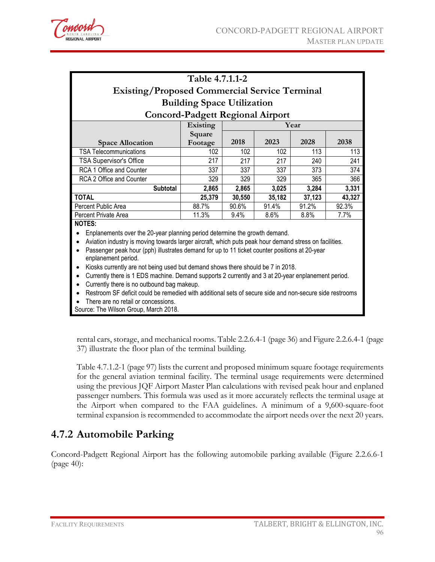

|                                                                                                        | Table 4.7.1.1-2                         |        |        |        |        |
|--------------------------------------------------------------------------------------------------------|-----------------------------------------|--------|--------|--------|--------|
| <b>Existing/Proposed Commercial Service Terminal</b>                                                   |                                         |        |        |        |        |
|                                                                                                        | <b>Building Space Utilization</b>       |        |        |        |        |
|                                                                                                        | <b>Concord-Padgett Regional Airport</b> |        |        |        |        |
|                                                                                                        | <b>Existing</b>                         | Year   |        |        |        |
|                                                                                                        | Square                                  |        |        |        |        |
| <b>Space Allocation</b>                                                                                | Footage                                 | 2018   | 2023   | 2028   | 2038   |
| TSA Telecommunications                                                                                 | 102                                     | 102    | 102    | 113    | 113    |
| <b>TSA Supervisor's Office</b>                                                                         | 217                                     | 217    | 217    | 240    | 241    |
| RCA 1 Office and Counter                                                                               | 337                                     | 337    | 337    | 373    | 374    |
| RCA 2 Office and Counter                                                                               | 329                                     | 329    | 329    | 365    | 366    |
| <b>Subtotal</b>                                                                                        | 2,865                                   | 2,865  | 3,025  | 3,284  | 3,331  |
| TOTAL                                                                                                  | 25,379                                  | 30,550 | 35,182 | 37,123 | 43,327 |
| Percent Public Area                                                                                    | 88.7%                                   | 90.6%  | 91.4%  | 91.2%  | 92.3%  |
| Percent Private Area                                                                                   | 11.3%                                   | 9.4%   | 8.6%   | 8.8%   | 7.7%   |
| <b>NOTES:</b>                                                                                          |                                         |        |        |        |        |
| Enplanements over the 20-year planning period determine the growth demand.                             |                                         |        |        |        |        |
| Aviation industry is moving towards larger aircraft, which puts peak hour demand stress on facilities. |                                         |        |        |        |        |
| Passenger peak hour (pph) illustrates demand for up to 11 ticket counter positions at 20-year          |                                         |        |        |        |        |

enplanement period. • Kiosks currently are not being used but demand shows there should be 7 in 2018.

• Currently there is 1 EDS machine. Demand supports 2 currently and 3 at 20-year enplanement period.

• Currently there is no outbound bag makeup.

• Restroom SF deficit could be remedied with additional sets of secure side and non-secure side restrooms

There are no retail or concessions.

Source: The Wilson Group, March 2018.

rental cars, storage, and mechanical rooms. Table 2.2.6.4-1 (page 36) and Figure 2.2.6.4-1 (page 37) illustrate the floor plan of the terminal building.

Table 4.7.1.2-1 (page 97) lists the current and proposed minimum square footage requirements for the general aviation terminal facility. The terminal usage requirements were determined using the previous JQF Airport Master Plan calculations with revised peak hour and enplaned passenger numbers. This formula was used as it more accurately reflects the terminal usage at the Airport when compared to the FAA guidelines. A minimum of a 9,600-square-foot terminal expansion is recommended to accommodate the airport needs over the next 20 years.

#### **4.7.2 Automobile Parking**

Concord-Padgett Regional Airport has the following automobile parking available (Figure 2.2.6.6-1 (page 40):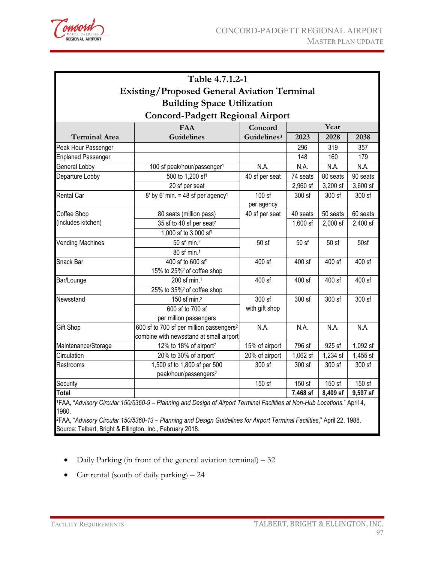

| Table 4.7.1.2-1                                                              |                                                      |                         |          |          |          |  |  |
|------------------------------------------------------------------------------|------------------------------------------------------|-------------------------|----------|----------|----------|--|--|
|                                                                              | <b>Existing/Proposed General Aviation Terminal</b>   |                         |          |          |          |  |  |
| <b>Building Space Utilization</b><br><b>Concord-Padgett Regional Airport</b> |                                                      |                         |          |          |          |  |  |
|                                                                              |                                                      |                         |          |          |          |  |  |
| <b>Terminal Area</b>                                                         | <b>Guidelines</b>                                    | Guidelines <sup>3</sup> | 2023     | 2028     | 2038     |  |  |
| Peak Hour Passenger                                                          |                                                      |                         | 296      | 319      | 357      |  |  |
| <b>Enplaned Passenger</b>                                                    |                                                      |                         | 148      | 160      | 179      |  |  |
| General Lobby                                                                | 100 sf peak/hour/passenger <sup>1</sup>              | N.A.                    | N.A.     | N.A.     | N.A.     |  |  |
| Departure Lobby                                                              | 500 to 1,200 sf <sup>1</sup>                         | 40 sf per seat          | 74 seats | 80 seats | 90 seats |  |  |
|                                                                              | 20 sf per seat                                       |                         | 2,960 sf | 3,200 sf | 3,600 sf |  |  |
| <b>Rental Car</b>                                                            | 8' by 6' min. = 48 sf per agency <sup>1</sup>        | 100 sf<br>per agency    | 300 sf   | 300 sf   | 300 sf   |  |  |
| Coffee Shop                                                                  | 80 seats (million pass)                              | 40 sf per seat          | 40 seats | 50 seats | 60 seats |  |  |
| (includes kitchen)                                                           | 35 sf to 40 sf per seat <sup>2</sup>                 |                         | 1,600 sf | 2,000 sf | 2,400 sf |  |  |
|                                                                              | 1,000 sf to 3,000 sf <sup>1</sup>                    |                         |          |          |          |  |  |
| <b>Vending Machines</b>                                                      | 50 sf min. <sup>2</sup>                              | 50 sf                   | 50 sf    | 50 sf    | 50sf     |  |  |
|                                                                              | 80 sf min. <sup>1</sup>                              |                         |          |          |          |  |  |
| Snack Bar                                                                    | 400 sf to 600 sf <sup>1</sup>                        | 400 sf                  | 400 sf   | 400 sf   | 400 sf   |  |  |
|                                                                              | 15% to 25% <sup>2</sup> of coffee shop               |                         |          |          |          |  |  |
| Bar/Lounge                                                                   | 200 sf min. <sup>1</sup>                             | 400 sf                  | 400 sf   | 400 sf   | 400 sf   |  |  |
|                                                                              | 25% to 35% <sup>2</sup> of coffee shop               |                         |          |          |          |  |  |
| Newsstand                                                                    | 150 sf min. <sup>2</sup>                             | 300 sf                  | 300 sf   | 300 sf   | 300 sf   |  |  |
|                                                                              | 600 sf to 700 sf                                     | with gift shop          |          |          |          |  |  |
|                                                                              | per million passengers                               |                         |          |          |          |  |  |
| Gift Shop                                                                    | 600 sf to 700 sf per million passengers <sup>2</sup> | N.A.                    | N.A.     | N.A.     | N.A.     |  |  |
|                                                                              | combine with newsstand at small airport              |                         |          |          |          |  |  |
| Maintenance/Storage                                                          | 12% to 18% of airport <sup>2</sup>                   | 15% of airport          | 796 sf   | 925 sf   | 1,092 sf |  |  |
| Circulation                                                                  | 20% to 30% of airport <sup>1</sup>                   | 20% of airport          | 1,062 sf | 1,234 sf | 1,455 sf |  |  |
| Restrooms                                                                    | 1,500 sf to 1,800 sf per 500                         | 300 sf                  | 300 sf   | 300 sf   | 300 sf   |  |  |
|                                                                              | peak/hour/passengers <sup>2</sup>                    |                         |          |          |          |  |  |
| Security                                                                     |                                                      | 150 sf                  | 150 sf   | 150 sf   | 150 sf   |  |  |
| Total                                                                        |                                                      |                         | 7,468 sf | 8,409 sf | 9,597 sf |  |  |

2FAA, "*Advisory Circular 150/5360-13 – Planning and Design Guidelines for Airport Terminal Facilities*," April 22, 1988. Source: Talbert, Bright & Ellington, Inc., February 2018.

- Daily Parking (in front of the general aviation terminal) 32
- Car rental (south of daily parking) 24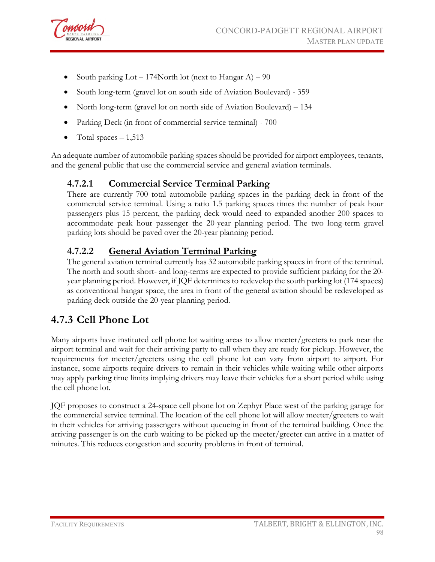

- South parking Lot 174North lot (next to Hangar A) 90
- South long-term (gravel lot on south side of Aviation Boulevard) 359
- North long-term (gravel lot on north side of Aviation Boulevard) 134
- Parking Deck (in front of commercial service terminal) 700
- Total spaces  $-1,513$

An adequate number of automobile parking spaces should be provided for airport employees, tenants, and the general public that use the commercial service and general aviation terminals.

#### **4.7.2.1 Commercial Service Terminal Parking**

There are currently 700 total automobile parking spaces in the parking deck in front of the commercial service terminal. Using a ratio 1.5 parking spaces times the number of peak hour passengers plus 15 percent, the parking deck would need to expanded another 200 spaces to accommodate peak hour passenger the 20-year planning period. The two long-term gravel parking lots should be paved over the 20-year planning period.

#### **4.7.2.2 General Aviation Terminal Parking**

The general aviation terminal currently has 32 automobile parking spaces in front of the terminal. The north and south short- and long-terms are expected to provide sufficient parking for the 20 year planning period. However, if JQF determines to redevelop the south parking lot (174 spaces) as conventional hangar space, the area in front of the general aviation should be redeveloped as parking deck outside the 20-year planning period.

### **4.7.3 Cell Phone Lot**

Many airports have instituted cell phone lot waiting areas to allow meeter/greeters to park near the airport terminal and wait for their arriving party to call when they are ready for pickup. However, the requirements for meeter/greeters using the cell phone lot can vary from airport to airport. For instance, some airports require drivers to remain in their vehicles while waiting while other airports may apply parking time limits implying drivers may leave their vehicles for a short period while using the cell phone lot.

JQF proposes to construct a 24-space cell phone lot on Zephyr Place west of the parking garage for the commercial service terminal. The location of the cell phone lot will allow meeter/greeters to wait in their vehicles for arriving passengers without queueing in front of the terminal building. Once the arriving passenger is on the curb waiting to be picked up the meeter/greeter can arrive in a matter of minutes. This reduces congestion and security problems in front of terminal.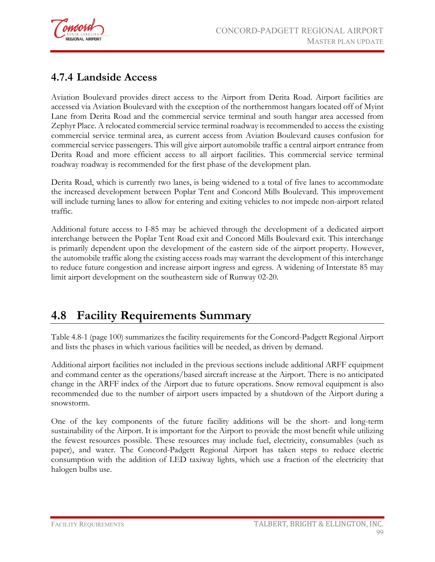

### **4.7.4 Landside Access**

Aviation Boulevard provides direct access to the Airport from Derita Road. Airport facilities are accessed via Aviation Boulevard with the exception of the northernmost hangars located off of Myint Lane from Derita Road and the commercial service terminal and south hangar area accessed from Zephyr Place. A relocated commercial service terminal roadway is recommended to access the existing commercial service terminal area, as current access from Aviation Boulevard causes confusion for commercial service passengers. This will give airport automobile traffic a central airport entrance from Derita Road and more efficient access to all airport facilities. This commercial service terminal roadway roadway is recommended for the first phase of the development plan.

Derita Road, which is currently two lanes, is being widened to a total of five lanes to accommodate the increased development between Poplar Tent and Concord Mills Boulevard. This improvement will include turning lanes to allow for entering and exiting vehicles to not impede non-airport related traffic.

Additional future access to I-85 may be achieved through the development of a dedicated airport interchange between the Poplar Tent Road exit and Concord Mills Boulevard exit. This interchange is primarily dependent upon the development of the eastern side of the airport property. However, the automobile traffic along the existing access roads may warrant the development of this interchange to reduce future congestion and increase airport ingress and egress. A widening of Interstate 85 may limit airport development on the southeastern side of Runway 02-20.

# **4.8 Facility Requirements Summary**

Table 4.8-1 (page 100) summarizes the facility requirements for the Concord-Padgett Regional Airport and lists the phases in which various facilities will be needed, as driven by demand.

Additional airport facilities not included in the previous sections include additional ARFF equipment and command center as the operations/based aircraft increase at the Airport. There is no anticipated change in the ARFF index of the Airport due to future operations. Snow removal equipment is also recommended due to the number of airport users impacted by a shutdown of the Airport during a snowstorm.

One of the key components of the future facility additions will be the short- and long-term sustainability of the Airport. It is important for the Airport to provide the most benefit while utilizing the fewest resources possible. These resources may include fuel, electricity, consumables (such as paper), and water. The Concord-Padgett Regional Airport has taken steps to reduce electric consumption with the addition of LED taxiway lights, which use a fraction of the electricity that halogen bulbs use.